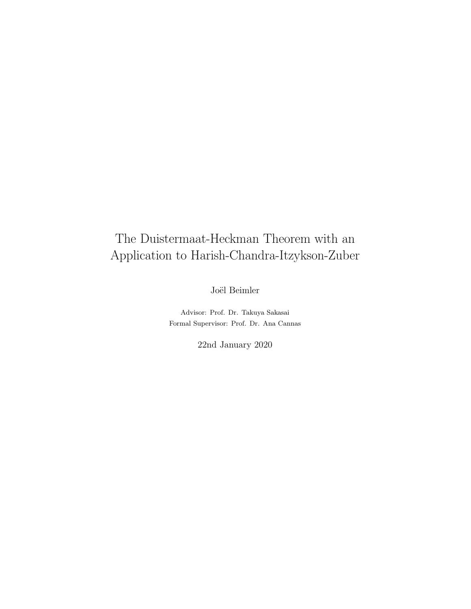# The Duistermaat-Heckman Theorem with an Application to Harish-Chandra-Itzykson-Zuber

Joël Beimler

Advisor: Prof. Dr. Takuya Sakasai Formal Supervisor: Prof. Dr. Ana Cannas

22nd January 2020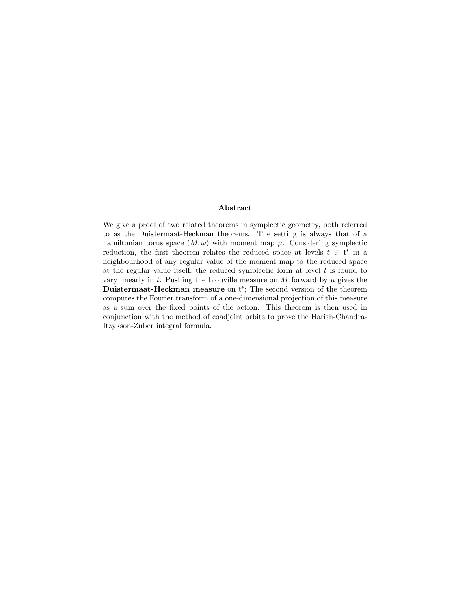#### Abstract

We give a proof of two related theorems in symplectic geometry, both referred to as the Duistermaat-Heckman theorems. The setting is always that of a hamiltonian torus space  $(M, \omega)$  with moment map  $\mu$ . Considering symplectic reduction, the first theorem relates the reduced space at levels  $t \in \mathfrak{t}^*$  in a neighbourhood of any regular value of the moment map to the reduced space at the regular value itself; the reduced symplectic form at level  $t$  is found to vary linearly in t. Pushing the Liouville measure on M forward by  $\mu$  gives the Duistermaat-Heckman measure on  $\mathfrak{t}^*$ ; The second version of the theorem computes the Fourier transform of a one-dimensional projection of this measure as a sum over the fixed points of the action. This theorem is then used in conjunction with the method of coadjoint orbits to prove the Harish-Chandra-Itzykson-Zuber integral formula.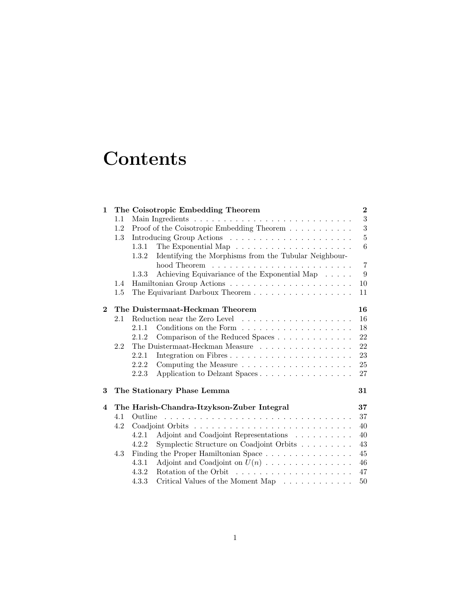# **Contents**

| $\mathbf{1}$ |         | The Coisotropic Embedding Theorem                                              | $\bf{2}$       |
|--------------|---------|--------------------------------------------------------------------------------|----------------|
|              | 1.1     |                                                                                | $\sqrt{3}$     |
|              | 1.2     | Proof of the Coisotropic Embedding Theorem                                     | 3              |
|              | $1.3\,$ |                                                                                | $\overline{5}$ |
|              |         | The Exponential Map $\dots \dots \dots \dots \dots \dots \dots \dots$<br>1.3.1 | 6              |
|              |         | 1.3.2<br>Identifying the Morphisms from the Tubular Neighbour-                 |                |
|              |         |                                                                                | $\overline{7}$ |
|              |         | Achieving Equivariance of the Exponential Map<br>1.3.3                         | 9              |
|              | 1.4     |                                                                                | 10             |
|              | $1.5\,$ | The Equivariant Darboux Theorem                                                | 11             |
| $\mathbf{2}$ |         | The Duistermaat-Heckman Theorem                                                | 16             |
|              | 2.1     |                                                                                | 16             |
|              |         | 2.1.1                                                                          | 18             |
|              |         | Comparison of the Reduced Spaces<br>2.1.2                                      | 22             |
|              | 2.2     | The Duistermaat-Heckman Measure                                                | 22             |
|              |         | 2.2.1                                                                          | 23             |
|              |         | 2.2.2                                                                          | 25             |
|              |         | 2.2.3<br>Application to Delzant Spaces                                         | 27             |
| 3            |         | The Stationary Phase Lemma                                                     | 31             |
| 4            |         | The Harish-Chandra-Itzykson-Zuber Integral                                     | 37             |
|              | 4.1     | Outline                                                                        | 37             |
|              | 4.2     |                                                                                | 40             |
|              |         | Adjoint and Coadjoint Representations<br>4.2.1                                 | 40             |
|              |         | Symplectic Structure on Coadjoint Orbits<br>4.2.2                              | 43             |
|              | 4.3     | Finding the Proper Hamiltonian Space                                           | 45             |
|              |         | 4.3.1<br>Adjoint and Coadjoint on $U(n)$                                       | 46             |
|              |         | 4.3.2                                                                          | 47             |
|              |         | Critical Values of the Moment Map<br>4.3.3                                     | 50             |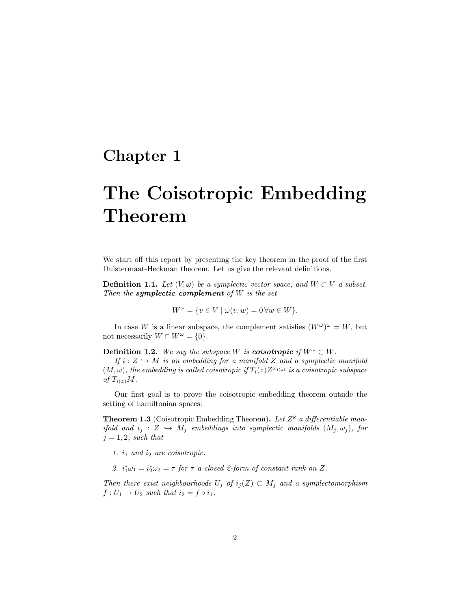# Chapter 1

# The Coisotropic Embedding Theorem

We start off this report by presenting the key theorem in the proof of the first Duistermaat-Heckman theorem. Let us give the relevant definitions.

**Definition 1.1.** Let  $(V, \omega)$  be a symplectic vector space, and  $W \subset V$  a subset. Then the **symplectic complement** of  $W$  is the set

$$
W^{\omega} = \{ v \in V \mid \omega(v, w) = 0 \,\forall w \in W \}.
$$

In case W is a linear subspace, the complement satisfies  $(W^{\omega})^{\omega} = W$ , but not necessarily  $W \cap W^{\omega} = \{0\}.$ 

**Definition 1.2.** We say the subspace W is **coisotropic** if  $W^{\omega} \subset W$ .

If  $i: Z \hookrightarrow M$  is an embedding for a manifold Z and a symplectic manifold  $(M, \omega)$ , the embedding is called coisotropic if  $T_i(z)Z^{\omega_{i(z)}}$  is a coisotropic subspace of  $T_{i(z)}M$ .

Our first goal is to prove the coisotropic embedding theorem outside the setting of hamiltonian spaces:

**Theorem 1.3** (Coisotropic Embedding Theorem). Let  $Z^k$  a differentiable manifold and  $i_j : Z \hookrightarrow M_j$  embeddings into symplectic manifolds  $(M_j, \omega_j)$ , for  $j = 1, 2$ , such that

- 1.  $i_1$  and  $i_2$  are coisotropic.
- 2.  $i_1^*\omega_1 = i_2^*\omega_2 = \tau$  for  $\tau$  a closed 2-form of constant rank on Z.

Then there exist neighbourhoods  $U_j$  of  $i_j(Z) \subset M_j$  and a symplectomorphism  $f: U_1 \to U_2$  such that  $i_2 = f \circ i_1$ .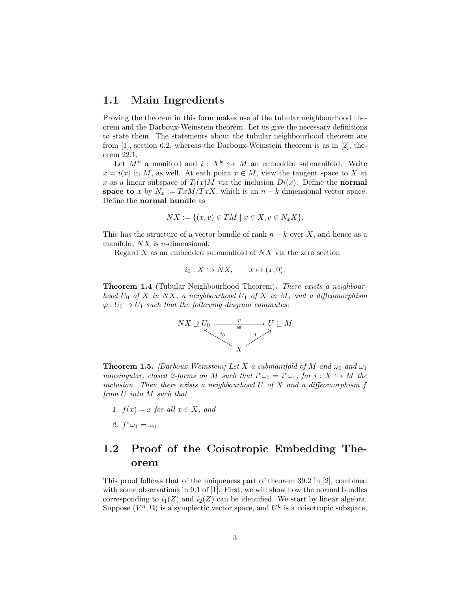#### 1.1 Main Ingredients

Proving the theorem in this form makes use of the tubular neighbourhood theorem and the Darboux-Weinstein theorem. Let us give the necessary definitions to state them. The statements about the tubular neighbourhood theorem are from [1], section 6.2, whereas the Darboux-Weinstein theorem is as in [2], theorem 22.1.

Let  $M^n$  a manifold and  $i: X^k \hookrightarrow M$  an embedded submanifold. Write  $x = i(x)$  in M, as well. At each point  $x \in M$ , view the tangent space to X at x as a linear subspace of  $T_i(x)M$  via the inclusion  $Di(x)$ . Define the normal space to x by  $N_x := T x M / T x X$ , which is an  $n - k$  dimensional vector space. Define the normal bundle as

$$
NX := \{(x, v) \in TM \mid x \in X, v \in N_x X\}.
$$

This has the structure of a vector bundle of rank  $n - k$  over X, and hence as a manifold,  $NX$  is *n*-dimensional.

Regard  $X$  as an embedded submanifold of  $NX$  via the zero section

$$
i_0: X \hookrightarrow N X, \qquad x \mapsto (x, 0).
$$

Theorem 1.4 (Tubular Neighbourhood Theorem). There exists a neighbourhood  $U_0$  of X in NX, a neighbourhood  $U_1$  of X in M, and a diffeomorphism  $\varphi: U_0 \to U_1$  such that the following diagram commutes:



**Theorem 1.5.** [Darboux-Weinstein] Let X a submanifold of M and  $\omega_0$  and  $\omega_1$ nonsingular, closed 2-forms on M such that  $i^*\omega_0 = i^*\omega_1$ , for  $i: X \hookrightarrow M$  the inclusion. Then there exists a neighbourhood  $U$  of  $X$  and a diffeomorphism  $f$ from U into M such that

- 1.  $f(x) = x$  for all  $x \in X$ , and
- 2.  $f^*\omega_1 = \omega_0$ .

## 1.2 Proof of the Coisotropic Embedding Theorem

This proof follows that of the uniqueness part of theorem 39.2 in [2], combined with some observations in 9.1 of [1]. First, we will show how the normal bundles corresponding to  $i_1(Z)$  and  $i_2(Z)$  can be identified. We start by linear algebra. Suppose  $(V^n, \Omega)$  is a symplectic vector space, and  $U^k$  is a coisotropic subspace,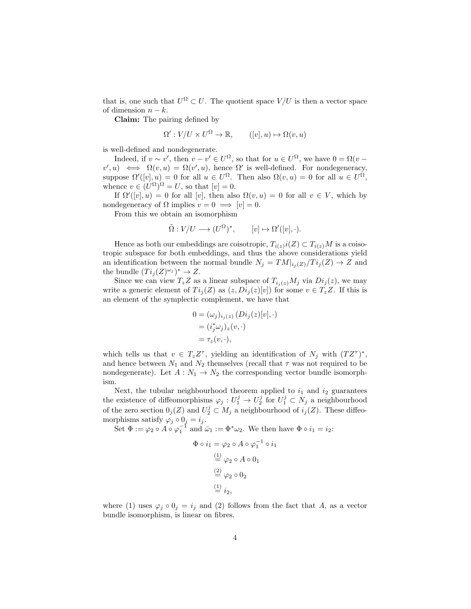that is, one such that  $U^{\Omega} \subset U$ . The quotient space  $V/U$  is then a vector space of dimension  $n - k$ .

Claim: The pairing defined by

$$
\Omega': V/U \times U^{\Omega} \to \mathbb{R}, \qquad ([v], u) \mapsto \Omega(v, u)
$$

is well-defined and nondegenerate.

Indeed, if  $v \sim v'$ , then  $v - v' \in U^{\Omega}$ , so that for  $u \in U^{\Omega}$ , we have  $0 = \Omega(v$  $v', u$   $\iff \Omega(v, u) = \Omega(v', u)$ , hence  $\Omega'$  is well-defined. For nondegeneracy, suppose  $\Omega'([v], u) = 0$  for all  $u \in U^{\Omega}$ . Then also  $\Omega(v, u) = 0$  for all  $u \in U^{\Omega}$ , whence  $v \in (U^{\Omega})^{\Omega} = U$ , so that  $[v] = 0$ .

If  $\Omega'([v], u) = 0$  for all  $[v]$ , then also  $\Omega(v, u) = 0$  for all  $v \in V$ , which by nondegeneracy of  $\Omega$  implies  $v = 0 \implies [v] = 0$ .

From this we obtain an isomorphism

$$
\tilde{\Omega}: V/U \longrightarrow (U^{\Omega})^*, \qquad [v] \mapsto \Omega'([v], \cdot).
$$

Hence as both our embeddings are coisotropic,  $T_{i(z)}i(Z) \subset T_{i(z)}M$  is a coisotropic subspace for both embeddings, and thus the above considerations yield an identification between the normal bundle  $N_j = TM|_{i_j(Z)}/Ti_j(Z) \rightarrow Z$  and the bundle  $(Ti_j(Z)^{\omega_j})^* \to Z$ .

Since we can view  $T_z Z$  as a linear subspace of  $T_{i_i(z)} M_j$  via  $Di_j(z)$ , we may write a generic element of  $Ti_j(Z)$  as  $(z, Di_j(z)[v])$  for some  $v \in T_zZ$ . If this is an element of the symplectic complement, we have that

$$
0 = (\omega_j)_{i_j(z)} (Di_j(z)[v], \cdot)
$$
  
=  $(i_j^*\omega_j)_z(v, \cdot)$   
=  $\tau_z(v, \cdot),$ 

which tells us that  $v \in T_z Z^{\tau}$ , yielding an identification of  $N_j$  with  $(T Z^{\tau})^*$ , and hence between  $N_1$  and  $N_2$  themselves (recall that  $\tau$  was not required to be nondegenerate). Let  $A: N_1 \to N_2$  the corresponding vector bundle isomorphism.

Next, the tubular neighbourhood theorem applied to  $i_1$  and  $i_2$  guarantees the existence of diffeomorphisms  $\varphi_j: U_1^j \to U_2^j$  for  $U_1^j \subset N_j$  a neighbourhood of the zero section  $0_j(Z)$  and  $U_2^j \subset M_j$  a neighbourhood of  $i_j(Z)$ . These diffeomorphisms satisfy  $\varphi_j \circ 0_j = i_j$ .

Set  $\Phi := \varphi_2 \circ A \circ \varphi_1^{-1}$  and  $\bar{\omega}_1 := \Phi^* \omega_2$ . We then have  $\Phi \circ i_1 = i_2$ :

$$
\Phi \circ i_1 = \varphi_2 \circ A \circ \varphi_1^{-1} \circ i_1
$$
  
\n
$$
\stackrel{(1)}{=} \varphi_2 \circ A \circ 0_1
$$
  
\n
$$
\stackrel{(2)}{=} \varphi_2 \circ 0_2
$$
  
\n
$$
\stackrel{(1)}{=} i_2,
$$

where (1) uses  $\varphi_j \circ 0_j = i_j$  and (2) follows from the fact that A, as a vector bundle isomorphism, is linear on fibres.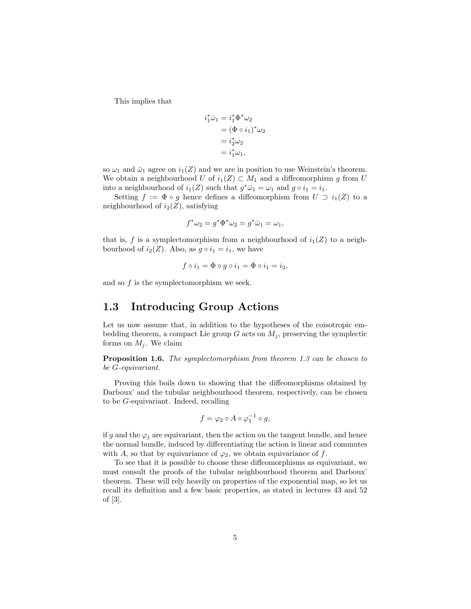This implies that

$$
i_1^* \bar{\omega}_1 = i_1^* \Phi^* \omega_2
$$
  
=  $(\Phi \circ i_1)^* \omega_2$   
=  $i_2^* \omega_2$   
=  $i_1^* \omega_1$ ,

so  $\omega_1$  and  $\bar{\omega}_1$  agree on  $i_1(Z)$  and we are in position to use Weinstein's theorem. We obtain a neighbourhood U of  $i_1(Z) \subset M_1$  and a diffeomorphism g from U into a neighbourhood of  $i_1(Z)$  such that  $g^*\bar{\omega}_1 = \omega_1$  and  $g \circ i_1 = i_1$ .

Setting  $f := \Phi \circ g$  hence defines a diffeomorphism from  $U \supset i_1(Z)$  to a neighbourhood of  $i_2(Z)$ , satisfying

$$
f^*\omega_2 = g^*\Phi^*\omega_2 = g^*\bar{\omega}_1 = \omega_1,
$$

that is, f is a symplectomorphism from a neighbourhood of  $i_1(Z)$  to a neighbourhood of  $i_2(Z)$ . Also, as  $g \circ i_1 = i_1$ , we have

$$
f \circ i_1 = \Phi \circ g \circ i_1 = \Phi \circ i_1 = i_2,
$$

and so  $f$  is the symplectomorphism we seek.

#### 1.3 Introducing Group Actions

Let us now assume that, in addition to the hypotheses of the coisotropic embedding theorem, a compact Lie group  $G$  acts on  $M_i$ , preserving the symplectic forms on  $M_i$ . We claim

Proposition 1.6. The symplectomorphism from theorem 1.3 can be chosen to be G-equivariant.

Proving this boils down to showing that the diffeomorphisms obtained by Darboux' and the tubular neighbourhood theorem, respectively, can be chosen to be G-equivariant. Indeed, recalling

$$
f = \varphi_2 \circ A \circ \varphi_1^{-1} \circ g,
$$

if g and the  $\varphi_j$  are equivariant, then the action on the tangent bundle, and hence the normal bundle, induced by differentiating the action is linear and commutes with A, so that by equivariance of  $\varphi_2$ , we obtain equivariance of f.

To see that it is possible to choose these diffeomorphisms as equivariant, we must consult the proofs of the tubular neighbourhood theorem and Darboux' theorem. These will rely heavily on properties of the exponential map, so let us recall its definition and a few basic properties, as stated in lectures 43 and 52 of [3].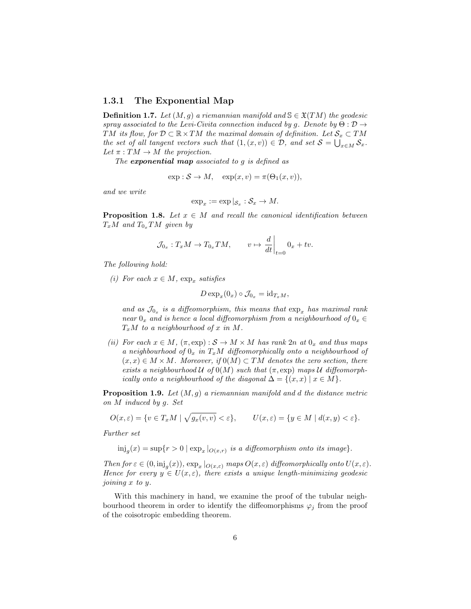#### 1.3.1 The Exponential Map

**Definition 1.7.** Let  $(M, q)$  a riemannian manifold and  $S \in \mathfrak{X}(TM)$  the geodesic spray associated to the Levi-Civita connection induced by g. Denote by  $\Theta : \mathcal{D} \to$ TM its flow, for  $D \subset \mathbb{R} \times TM$  the maximal domain of definition. Let  $\mathcal{S}_x \subset TM$ the set of all tangent vectors such that  $(1,(x,v)) \in \mathcal{D}$ , and set  $\mathcal{S} = \bigcup_{x \in M} \mathcal{S}_x$ . Let  $\pi: TM \to M$  the projection.

The **exponential map** associated to  $g$  is defined as

$$
\exp : \mathcal{S} \to M, \quad \exp(x, v) = \pi(\Theta_1(x, v)),
$$

and we write

$$
\exp_x := \exp|_{\mathcal{S}_x} : \mathcal{S}_x \to M.
$$

**Proposition 1.8.** Let  $x \in M$  and recall the canonical identification between  $T_xM$  and  $T_{0_x}TM$  given by

$$
\mathcal{J}_{0_x}: T_x M \to T_{0_x} T M, \qquad v \mapsto \left. \frac{d}{dt} \right|_{t=0} 0_x + tv.
$$

The following hold:

(i) For each  $x \in M$ ,  $\exp_x$  satisfies

$$
D \exp_x(0_x) \circ \mathcal{J}_{0_x} = \mathrm{id}_{T_xM},
$$

and as  $\mathcal{J}_{0_x}$  is a diffeomorphism, this means that  $\exp_x$  has maximal rank near  $0_x$  and is hence a local diffeomorphism from a neighbourhood of  $0_x \in$  $T_xM$  to a neighbourhood of x in M.

(ii) For each  $x \in M$ ,  $(\pi, \exp): \mathcal{S} \to M \times M$  has rank  $2n$  at  $0_x$  and thus maps a neighbourhood of  $0_x$  in  $T_xM$  diffeomorphically onto a neighbourhood of  $(x, x) \in M \times M$ . Moreover, if  $0(M) \subset TM$  denotes the zero section, there exists a neighbourhood U of  $0(M)$  such that  $(\pi, \exp)$  maps U diffeomorphically onto a neighbourhood of the diagonal  $\Delta = \{(x, x) \mid x \in M\}.$ 

**Proposition 1.9.** Let  $(M, g)$  a riemannian manifold and d the distance metric on M induced by g. Set

$$
O(x,\varepsilon) = \{ v \in T_x M \mid \sqrt{g_x(v,v)} < \varepsilon \}, \qquad U(x,\varepsilon) = \{ y \in M \mid d(x,y) < \varepsilon \}.
$$

Further set

 $\text{inj}_{g}(x) = \sup\{r > 0 \mid \exp_x |_{O(x,r)} \text{ is a diffeomorphism onto its image}\}.$ 

Then for  $\varepsilon \in (0, \text{inj}_g(x))$ ,  $\exp_x |_{O(x,\varepsilon)}$  maps  $O(x,\varepsilon)$  diffeomorphically onto  $U(x,\varepsilon)$ . Hence for every  $y \in U(x, \varepsilon)$ , there exists a unique length-minimizing geodesic joining x to y.

With this machinery in hand, we examine the proof of the tubular neighbourhood theorem in order to identify the diffeomorphisms  $\varphi_j$  from the proof of the coisotropic embedding theorem.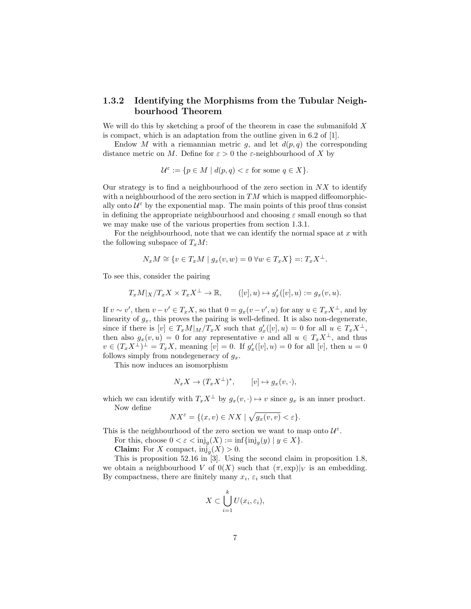#### 1.3.2 Identifying the Morphisms from the Tubular Neighbourhood Theorem

We will do this by sketching a proof of the theorem in case the submanifold  $X$ is compact, which is an adaptation from the outline given in 6.2 of [1].

Endow M with a riemannian metric g, and let  $d(p, q)$  the corresponding distance metric on M. Define for  $\varepsilon > 0$  the  $\varepsilon$ -neighbourhood of X by

$$
\mathcal{U}^{\varepsilon} := \{ p \in M \mid d(p, q) < \varepsilon \text{ for some } q \in X \}.
$$

Our strategy is to find a neighbourhood of the zero section in  $NX$  to identify with a neighbourhood of the zero section in  $TM$  which is mapped diffeomorphically onto  $\mathcal{U}^{\varepsilon}$  by the exponential map. The main points of this proof thus consist in defining the appropriate neighbourhood and choosing  $\varepsilon$  small enough so that we may make use of the various properties from section 1.3.1.

For the neighbourhood, note that we can identify the normal space at  $x$  with the following subspace of  $T_xM$ :

$$
N_x M \cong \{ v \in T_x M \mid g_x(v, w) = 0 \,\forall w \in T_x X \} =: T_x X^{\perp}.
$$

To see this, consider the pairing

$$
T_xM|_X/T_xX\times T_xX^\perp\to \mathbb{R},\qquad ([v],u)\mapsto g'_x([v],u):=g_x(v,u).
$$

If  $v \sim v'$ , then  $v - v' \in T_x X$ , so that  $0 = g_x(v - v', u)$  for any  $u \in T_x X^{\perp}$ , and by linearity of  $g_x$ , this proves the pairing is well-defined. It is also non-degenerate, since if there is  $[v] \in T_xM|_M/T_xX$  such that  $g'_x([v],u) = 0$  for all  $u \in T_xX^{\perp}$ , then also  $g_x(v, u) = 0$  for any representative v and all  $u \in T_x X^{\perp}$ , and thus  $v \in (T_x X^{\perp})^{\perp} = T_x X$ , meaning  $[v] = 0$ . If  $g'_x([v], u) = 0$  for all  $[v]$ , then  $u = 0$ follows simply from nondegeneracy of  $q_x$ .

This now induces an isomorphism

$$
N_x X \to (T_x X^{\perp})^*, \qquad [v] \mapsto g_x(v, \cdot),
$$

which we can identify with  $T_xX^{\perp}$  by  $g_x(v, \cdot) \mapsto v$  since  $g_x$  is an inner product. Now define

$$
NX^{\varepsilon} = \{(x, v) \in NX \mid \sqrt{g_x(v, v)} < \varepsilon\}.
$$

This is the neighbourhood of the zero section we want to map onto  $\mathcal{U}^{\varepsilon}$ .

For this, choose  $0 < \varepsilon < \mathrm{inj}_g(X) := \inf \{ \mathrm{inj}_g(y) \mid y \in X \}.$ 

**Claim:** For X compact,  $\text{inj}_g(X) > 0$ .

This is proposition 52.16 in [3]. Using the second claim in proposition 1.8, we obtain a neighbourhood V of  $0(X)$  such that  $(\pi, \exp)|_V$  is an embedding. By compactness, there are finitely many  $x_i$ ,  $\varepsilon_i$  such that

$$
X \subset \bigcup_{i=1}^k U(x_i, \varepsilon_i),
$$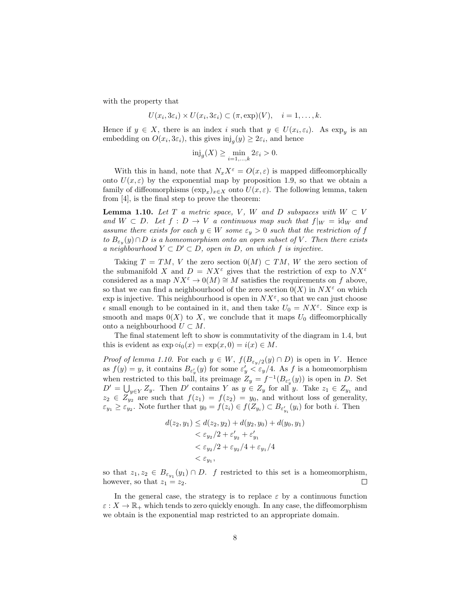with the property that

$$
U(x_i, 3\varepsilon_i) \times U(x_i, 3\varepsilon_i) \subset (\pi, \exp)(V), \quad i = 1, \dots, k.
$$

Hence if  $y \in X$ , there is an index i such that  $y \in U(x_i, \varepsilon_i)$ . As  $\exp_y$  is an embedding on  $O(x_i, 3\varepsilon_i)$ , this gives  $\text{inj}_g(y) \geq 2\varepsilon_i$ , and hence

$$
\text{inj}_{g}(X) \ge \min_{i=1,\dots,k} 2\varepsilon_i > 0.
$$

With this in hand, note that  $N_xX^{\varepsilon} = O(x, \varepsilon)$  is mapped diffeomorphically onto  $U(x,\varepsilon)$  by the exponential map by proposition 1.9, so that we obtain a family of diffeomorphisms  $(\exp_x)_{x \in X}$  onto  $U(x, \varepsilon)$ . The following lemma, taken from [4], is the final step to prove the theorem:

**Lemma 1.10.** Let T a metric space, V, W and D subspaces with  $W \subset V$ and  $W \subset D$ . Let  $f : D \to V$  a continuous map such that  $f|_W = id_W$  and assume there exists for each  $y \in W$  some  $\varepsilon_y > 0$  such that the restriction of f to  $B_{\varepsilon_y}(y) \cap D$  is a homeomorphism onto an open subset of V. Then there exists a neighbourhood  $Y \subset D' \subset D$ , open in D, on which f is injective.

Taking  $T = TM$ , V the zero section  $0(M) \subset TM$ , W the zero section of the submanifold X and  $D = N X^{\varepsilon}$  gives that the restriction of exp to  $N X^{\varepsilon}$ considered as a map  $NX^{\varepsilon} \to 0(M) \cong M$  satisfies the requirements on f above, so that we can find a neighbourhood of the zero section  $0(X)$  in  $NX^{\epsilon}$  on which exp is injective. This neighbourhood is open in  $NX^{\varepsilon}$ , so that we can just choose  $\epsilon$  small enough to be contained in it, and then take  $U_0 = N X^{\epsilon}$ . Since exp is smooth and maps  $0(X)$  to X, we conclude that it maps  $U_0$  diffeomorphically onto a neighbourhood  $U \subset M$ .

The final statement left to show is commutativity of the diagram in 1.4, but this is evident as  $\exp \circ i_0(x) = \exp(x, 0) = i(x) \in M$ .

*Proof of lemma 1.10.* For each  $y \in W$ ,  $f(B_{\varepsilon_n/2}(y) \cap D)$  is open in V. Hence as  $f(y) = y$ , it contains  $B_{\varepsilon'_y}(y)$  for some  $\varepsilon'_y \leq \varepsilon_y/4$ . As f is a homeomorphism when restricted to this ball, its preimage  $Z_y = f^{-1}(B_{\varepsilon'_y}(y))$  is open in D. Set  $D' = \bigcup_{y \in Y} Z_y$ . Then D' contains Y as  $y \in Z_y$  for all y. Take  $z_1 \in Z_{y_1}$  and  $z_2 \in Z_{y_2}$  are such that  $f(z_1) = f(z_2) = y_0$ , and without loss of generality,  $\varepsilon_{y_1} \geq \varepsilon_{y_2}$ . Note further that  $y_0 = f(z_i) \in f(Z_{y_i}) \subset B_{\varepsilon'_{y_i}}(y_i)$  for both *i*. Then

$$
d(z_2, y_1) \le d(z_2, y_2) + d(y_2, y_0) + d(y_0, y_1)
$$
  

$$
< \varepsilon_{y_2}/2 + \varepsilon'_{y_2} + \varepsilon'_{y_1}
$$
  

$$
< \varepsilon_{y_2}/2 + \varepsilon_{y_2}/4 + \varepsilon_{y_1}/4
$$
  

$$
< \varepsilon_{y_1},
$$

so that  $z_1, z_2 \in B_{\varepsilon_{y_1}}(y_1) \cap D$ . f restricted to this set is a homeomorphism, however, so that  $z_1 = z_2$ .  $\Box$ 

In the general case, the strategy is to replace  $\varepsilon$  by a continuous function  $\varepsilon: X \to \mathbb{R}_+$  which tends to zero quickly enough. In any case, the diffeomorphism we obtain is the exponential map restricted to an appropriate domain.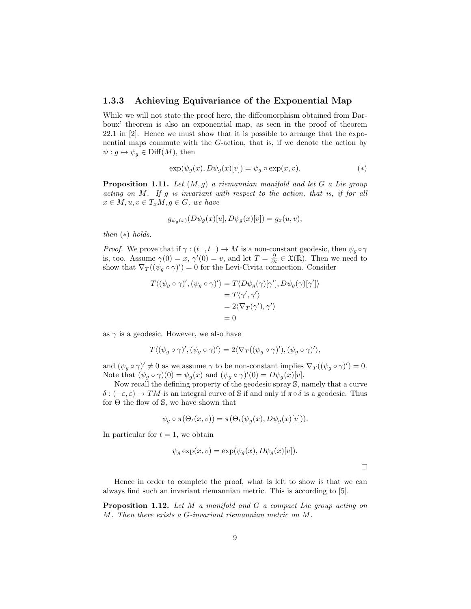#### 1.3.3 Achieving Equivariance of the Exponential Map

While we will not state the proof here, the diffeomorphism obtained from Darboux' theorem is also an exponential map, as seen in the proof of theorem 22.1 in [2]. Hence we must show that it is possible to arrange that the exponential maps commute with the G-action, that is, if we denote the action by  $\psi : g \mapsto \psi_g \in \text{Diff}(M)$ , then

$$
\exp(\psi_g(x), D\psi_g(x)[v]) = \psi_g \circ \exp(x, v). \tag{*}
$$

**Proposition 1.11.** Let  $(M, g)$  a riemannian manifold and let G a Lie group acting on M. If g is invariant with respect to the action, that is, if for all  $x \in M, u, v \in T_xM, g \in G$ , we have

$$
g_{\psi_g(x)}(D\psi_g(x)[u], D\psi_g(x)[v]) = g_x(u, v),
$$

then  $(*)$  holds.

*Proof.* We prove that if  $\gamma : (t^-, t^+) \to M$  is a non-constant geodesic, then  $\psi_g \circ \gamma$ is, too. Assume  $\gamma(0) = x$ ,  $\gamma'(0) = v$ , and let  $T = \frac{\partial}{\partial t} \in \mathfrak{X}(\mathbb{R})$ . Then we need to show that  $\nabla_T((\psi_g \circ \gamma)') = 0$  for the Levi-Civita connection. Consider

$$
T\langle (\psi_g \circ \gamma)', (\psi_g \circ \gamma)'\rangle = T\langle D\psi_g(\gamma)[\gamma'], D\psi_g(\gamma)[\gamma']\rangle
$$
  
=  $T\langle \gamma', \gamma'\rangle$   
=  $2\langle \nabla_T(\gamma'), \gamma'\rangle$   
= 0

as  $\gamma$  is a geodesic. However, we also have

$$
T\langle (\psi_g \circ \gamma)', (\psi_g \circ \gamma)'\rangle = 2\langle \nabla_T((\psi_g \circ \gamma)', (\psi_g \circ \gamma)'\rangle,
$$

and  $(\psi_g \circ \gamma)' \neq 0$  as we assume  $\gamma$  to be non-constant implies  $\nabla_T((\psi_g \circ \gamma)') = 0$ . Note that  $(\psi_g \circ \gamma)(0) = \psi_g(x)$  and  $(\psi_g \circ \gamma)'(0) = D\psi_g(x)[v].$ 

Now recall the defining property of the geodesic spray S, namely that a curve  $\delta : (-\varepsilon, \varepsilon) \to TM$  is an integral curve of S if and only if  $\pi \circ \delta$  is a geodesic. Thus for  $\Theta$  the flow of  $\mathbb{S}$ , we have shown that

$$
\psi_g \circ \pi(\Theta_t(x, v)) = \pi(\Theta_t(\psi_g(x), D\psi_g(x)[v])).
$$

In particular for  $t = 1$ , we obtain

$$
\psi_g \exp(x, v) = \exp(\psi_g(x), D\psi_g(x)[v]).
$$

 $\Box$ 

Hence in order to complete the proof, what is left to show is that we can always find such an invariant riemannian metric. This is according to [5].

Proposition 1.12. Let M a manifold and G a compact Lie group acting on M. Then there exists a G-invariant riemannian metric on M.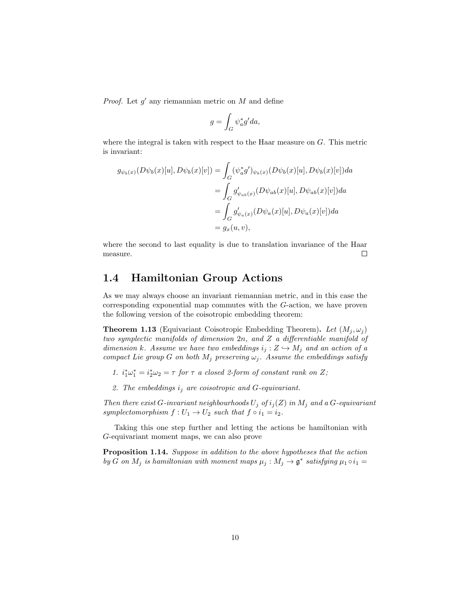*Proof.* Let  $g'$  any riemannian metric on  $M$  and define

$$
g = \int_G \psi_a^* g' da,
$$

where the integral is taken with respect to the Haar measure on G. This metric is invariant:

$$
g_{\psi_b(x)}(D\psi_b(x)[u], D\psi_b(x)[v]) = \int_G (\psi_a^* g')_{\psi_b(x)}(D\psi_b(x)[u], D\psi_b(x)[v]) da
$$
  

$$
= \int_G g'_{\psi_{ab}(x)}(D\psi_{ab}(x)[u], D\psi_{ab}(x)[v]) da
$$
  

$$
= \int_G g'_{\psi_a(x)}(D\psi_a(x)[u], D\psi_a(x)[v]) da
$$
  

$$
= g_x(u, v),
$$

where the second to last equality is due to translation invariance of the Haar measure.  $\Box$ 

## 1.4 Hamiltonian Group Actions

As we may always choose an invariant riemannian metric, and in this case the corresponding exponential map commutes with the G-action, we have proven the following version of the coisotropic embedding theorem:

**Theorem 1.13** (Equivariant Coisotropic Embedding Theorem). Let  $(M_j, \omega_j)$ two symplectic manifolds of dimension 2n, and Z a differentiable manifold of dimension k. Assume we have two embeddings  $i_j : Z \hookrightarrow M_j$  and an action of a compact Lie group G on both  $M_j$  preserving  $\omega_j$ . Assume the embeddings satisfy

- 1.  $i_1^*\omega_1^* = i_2^*\omega_2 = \tau$  for  $\tau$  a closed 2-form of constant rank on Z;
- 2. The embeddings  $i_j$  are coisotropic and G-equivariant.

Then there exist G-invariant neighbourhoods  $U_j$  of  $i_j(Z)$  in  $M_j$  and a G-equivariant symplectomorphism  $f: U_1 \to U_2$  such that  $f \circ i_1 = i_2$ .

Taking this one step further and letting the actions be hamiltonian with G-equivariant moment maps, we can also prove

Proposition 1.14. Suppose in addition to the above hypotheses that the action by G on  $M_j$  is hamiltonian with moment maps  $\mu_j : M_j \to \mathfrak{g}^*$  satisfying  $\mu_1 \circ i_1 =$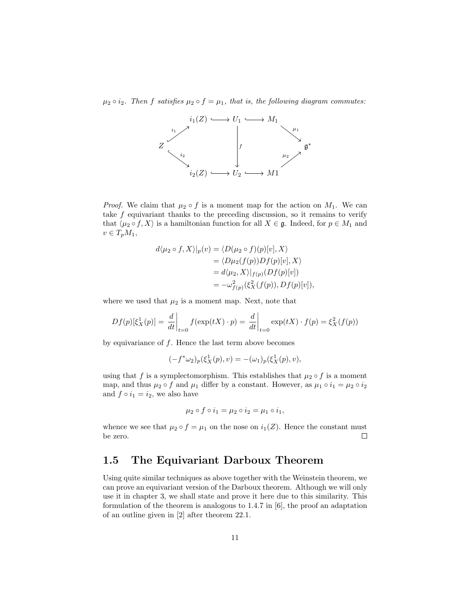$\mu_2 \circ i_2$ . Then f satisfies  $\mu_2 \circ f = \mu_1$ , that is, the following diagram commutes:



*Proof.* We claim that  $\mu_2 \circ f$  is a moment map for the action on  $M_1$ . We can take  $f$  equivariant thanks to the preceding discussion, so it remains to verify that  $\langle \mu_2 \circ f, X \rangle$  is a hamiltonian function for all  $X \in \mathfrak{g}$ . Indeed, for  $p \in M_1$  and  $v \in T_pM_1$ ,

$$
d\langle \mu_2 \circ f, X \rangle |_{p}(v) = \langle D(\mu_2 \circ f)(p)[v], X \rangle
$$
  
=  $\langle D\mu_2(f(p))Df(p)[v], X \rangle$   
=  $d\langle \mu_2, X \rangle |_{f(p)} (Df(p)[v])$   
=  $-\omega_{f(p)}^2(\xi_X^2(f(p)), Df(p)[v]),$ 

where we used that  $\mu_2$  is a moment map. Next, note that

$$
Df(p)[\xi_X^1(p)] = \frac{d}{dt}\bigg|_{t=0} f(\exp(tX) \cdot p) = \frac{d}{dt}\bigg|_{t=0} \exp(tX) \cdot f(p) = \xi_X^2(f(p))
$$

by equivariance of  $f$ . Hence the last term above becomes

$$
(-f^*\omega_2)_p(\xi_X^1(p), v) = -(\omega_1)_p(\xi_X^1(p), v),
$$

using that f is a symplectomorphism. This establishes that  $\mu_2 \circ f$  is a moment map, and thus  $\mu_2 \circ f$  and  $\mu_1$  differ by a constant. However, as  $\mu_1 \circ i_1 = \mu_2 \circ i_2$ and  $f \circ i_1 = i_2$ , we also have

$$
\mu_2 \circ f \circ i_1 = \mu_2 \circ i_2 = \mu_1 \circ i_1,
$$

whence we see that  $\mu_2 \circ f = \mu_1$  on the nose on  $i_1(Z)$ . Hence the constant must be zero.  $\Box$ 

## 1.5 The Equivariant Darboux Theorem

Using quite similar techniques as above together with the Weinstein theorem, we can prove an equivariant version of the Darboux theorem. Although we will only use it in chapter 3, we shall state and prove it here due to this similarity. This formulation of the theorem is analogous to 1.4.7 in [6], the proof an adaptation of an outline given in [2] after theorem 22.1.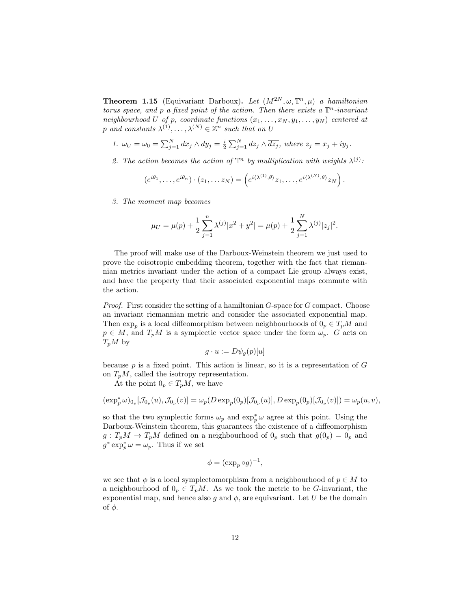**Theorem 1.15** (Equivariant Darboux). Let  $(M^{2N}, \omega, \mathbb{T}^n, \mu)$  a hamiltonian torus space, and p a fixed point of the action. Then there exists a  $\mathbb{T}^n$ -invariant neighbourhood U of p, coordinate functions  $(x_1, \ldots, x_N, y_1, \ldots, y_N)$  centered at p and constants  $\lambda^{(1)}, \ldots, \lambda^{(N)} \in \mathbb{Z}^n$  such that on U

- 1.  $\omega_U = \omega_0 = \sum_{j=1}^N dx_j \wedge dy_j = \frac{i}{2} \sum_{j=1}^N dz_j \wedge \overline{dz_j}$ , where  $z_j = x_j + iy_j$ .
- 2. The action becomes the action of  $\mathbb{T}^n$  by multiplication with weights  $\lambda^{(j)}$ :

$$
(e^{i\theta_1},\ldots,e^{i\theta_n})\cdot(z_1,\ldots z_N)=\left(e^{i\langle\lambda^{(1)},\theta\rangle}z_1,\ldots,e^{i\langle\lambda^{(N)},\theta\rangle}z_N\right).
$$

3. The moment map becomes

$$
\mu_U = \mu(p) + \frac{1}{2} \sum_{j=1}^n \lambda^{(j)} |x^2 + y^2| = \mu(p) + \frac{1}{2} \sum_{j=1}^N \lambda^{(j)} |z_j|^2.
$$

The proof will make use of the Darboux-Weinstein theorem we just used to prove the coisotropic embedding theorem, together with the fact that riemannian metrics invariant under the action of a compact Lie group always exist, and have the property that their associated exponential maps commute with the action.

Proof. First consider the setting of a hamiltonian G-space for G compact. Choose an invariant riemannian metric and consider the associated exponential map. Then  $\exp_p$  is a local diffeomorphism between neighbourhoods of  $0_p \in T_pM$  and  $p \in M$ , and  $T_pM$  is a symplectic vector space under the form  $\omega_p$ . G acts on  $T_pM$  by

$$
g \cdot u := D \psi_g(p)[u]
$$

because  $p$  is a fixed point. This action is linear, so it is a representation of  $G$ on  $T_pM$ , called the isotropy representation.

At the point  $0_p \in T_pM$ , we have

$$
(\exp_p^*\omega)_{0_p}[\mathcal{J}_{0_p}(u),\mathcal{J}_{0_p}(v)]=\omega_p(D\exp_p(0_p)[\mathcal{J}_{0_p}(u)],D\exp_p(0_p)[\mathcal{J}_{0_p}(v)])=\omega_p(u,v),
$$

so that the two symplectic forms  $\omega_p$  and  $\exp_p^*\omega$  agree at this point. Using the Darboux-Weinstein theorem, this guarantees the existence of a diffeomorphism  $g: T_pM \to T_pM$  defined on a neighbourhood of  $0_p$  such that  $g(0_p) = 0_p$  and  $g^* \exp_p^* \omega = \omega_p$ . Thus if we set

$$
\phi = (\exp_p \circ g)^{-1},
$$

we see that  $\phi$  is a local symplectomorphism from a neighbourhood of  $p \in M$  to a neighbourhood of  $0_p \in T_pM$ . As we took the metric to be G-invariant, the exponential map, and hence also g and  $\phi$ , are equivariant. Let U be the domain of  $\phi$ .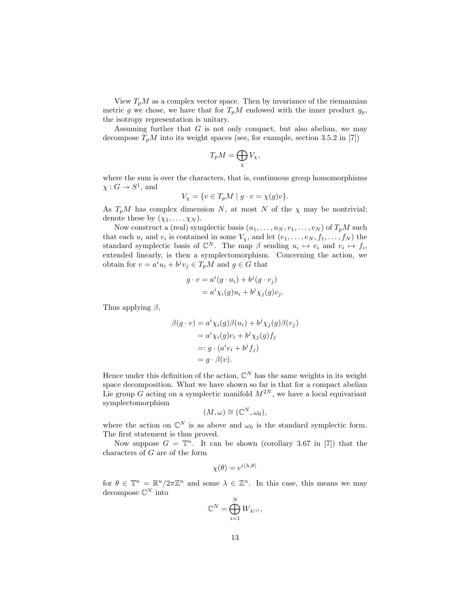View  $T_pM$  as a complex vector space. Then by invariance of the riemannian metric g we chose, we have that for  $T_pM$  endowed with the inner product  $g_p$ , the isotropy representation is unitary.

Assuming further that  $G$  is not only compact, but also abelian, we may decompose  $T_pM$  into its weight spaces (see, for example, section 3.5.2 in [7])

$$
T_p M = \bigoplus_{\chi} V_{\chi},
$$

where the sum is over the characters, that is, continuous group homomorphisms  $\chi: G \to S^1$ , and

$$
V_{\chi} = \{ v \in T_p M \mid g \cdot v = \chi(g)v \}.
$$

As  $T_pM$  has complex dimension N, at most N of the  $\chi$  may be nontrivial; denote these by  $(\chi_1, \ldots, \chi_N)$ .

Now construct a (real) symplectic basis  $(u_1, \ldots, u_N, v_1, \ldots, v_N)$  of  $T_pM$  such that each  $u_i$  and  $v_i$  is contained in some  $V_\chi$ , and let  $(e_1, \ldots, e_N, f_1, \ldots, f_N)$  the standard symplectic basis of  $\mathbb{C}^N$ . The map  $\beta$  sending  $u_i \mapsto e_i$  and  $v_i \mapsto f_i$ , extended linearly, is then a symplectomorphism. Concerning the action, we obtain for  $v = a^i u_i + b^j v_j \in T_p M$  and  $g \in G$  that

$$
g \cdot v = a^i(g \cdot u_i) + b^j(g \cdot v_j)
$$
  
=  $a^i \chi_i(g) u_i + b^j \chi_j(g) v_j.$ 

Thus applying  $\beta$ ,

$$
\beta(g \cdot v) = a^i \chi_i(g)\beta(u_i) + b^j \chi_j(g)\beta(v_j)
$$
  
=  $a^i \chi_i(g)e_i + b^j \chi_j(g)f_j$   
=:  $g \cdot (a^i e_i + b^j f_j)$   
=  $g \cdot \beta(v)$ .

Hence under this definition of the action,  $\mathbb{C}^N$  has the same weights in its weight space decomposition. What we have shown so far is that for a compact abelian Lie group G acting on a symplectic manifold  $M^{2N}$ , we have a local equivariant symplectomorphism

$$
(M,\omega)\cong (\mathbb{C}^N,\omega_0),
$$

where the action on  $\mathbb{C}^N$  is as above and  $\omega_0$  is the standard symplectic form. The first statement is thus proved.

Now suppose  $G = \mathbb{T}^n$ . It can be shown (corollary 3.67 in [7]) that the characters of G are of the form

$$
\chi(\theta) = e^{i\langle \lambda, \theta \rangle}
$$

for  $\theta \in \mathbb{T}^n = \mathbb{R}^n / 2\pi \mathbb{Z}^n$  and some  $\lambda \in \mathbb{Z}^n$ . In this case, this means we may decompose  $\mathbb{C}^N$  into  $\mathbf{v}$ 

$$
\mathbb{C}^N = \bigoplus_{i=1}^N W_{\lambda^{(i)}},
$$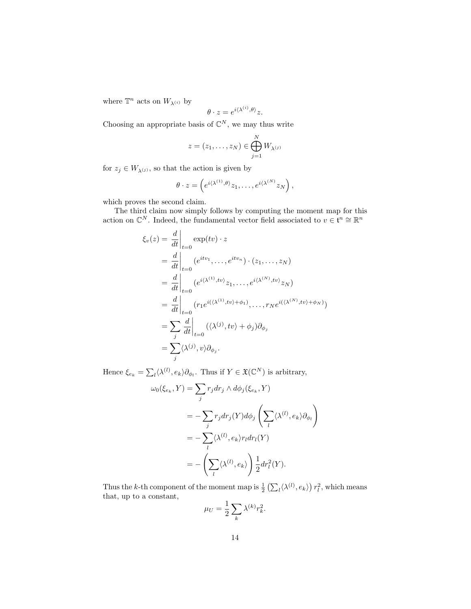where  $\mathbb{T}^n$  acts on  $W_{\lambda^{(i)}}$  by

$$
\theta \cdot z = e^{i \langle \lambda^{(i)}, \theta \rangle} z.
$$

Choosing an appropriate basis of  $\mathbb{C}^N$ , we may thus write

$$
z = (z_1, \dots, z_N) \in \bigoplus_{j=1}^N W_{\lambda^{(j)}}
$$

for  $z_j\in W_{\lambda^{(j)}},$  so that the action is given by

$$
\theta \cdot z = \left( e^{i \langle \lambda^{(1)}, \theta \rangle} z_1, \dots, e^{i \langle \lambda^{(N)} \rangle} z_N \right),
$$

which proves the second claim.

The third claim now simply follows by computing the moment map for this action on  $\mathbb{C}^N$ . Indeed, the fundamental vector field associated to  $v \in \mathfrak{t}^n \cong \mathbb{R}^n$ 

$$
\xi_v(z) = \frac{d}{dt}\Big|_{t=0} \exp(tv) \cdot z
$$
  
\n
$$
= \frac{d}{dt}\Big|_{t=0} (e^{itv_1}, \dots, e^{itv_n}) \cdot (z_1, \dots, z_N)
$$
  
\n
$$
= \frac{d}{dt}\Big|_{t=0} (e^{i(\lambda^{(1)}, tv)} z_1, \dots, e^{i(\lambda^{(N)}, tv)} z_N)
$$
  
\n
$$
= \frac{d}{dt}\Big|_{t=0} (r_1 e^{i(\lambda^{(1)}, tv) + \phi_1}, \dots, r_N e^{i(\lambda^{(N)}, tv) + \phi_N)})
$$
  
\n
$$
= \sum_j \frac{d}{dt}\Big|_{t=0} (\langle \lambda^{(j)}, tv \rangle + \phi_j) \partial_{\phi_j}
$$
  
\n
$$
= \sum_j \langle \lambda^{(j)}, v \rangle \partial_{\phi_j}.
$$

Hence  $\xi_{e_k} = \sum_l \langle \lambda^{(l)}, e_k \rangle \partial_{\phi_l}$ . Thus if  $Y \in \mathfrak{X}(\mathbb{C}^N)$  is arbitrary,

$$
\omega_0(\xi_{e_k}, Y) = \sum_j r_j dr_j \wedge d\phi_j(\xi_{e_k}, Y)
$$
  
= 
$$
- \sum_j r_j dr_j(Y) d\phi_j \left( \sum_l \langle \lambda^{(l)}, e_k \rangle \partial_{\phi_l} \right)
$$
  
= 
$$
- \sum_l \langle \lambda^{(l)}, e_k \rangle r_l dr_l(Y)
$$
  
= 
$$
- \left( \sum_l \langle \lambda^{(l)}, e_k \rangle \right) \frac{1}{2} dr_l^2(Y).
$$

Thus the k-th component of the moment map is  $\frac{1}{2} \left( \sum_l \langle \lambda^{(l)}, e_k \rangle \right) r_l^2$ , which means that, up to a constant,

$$
\mu_U = \frac{1}{2} \sum_k \lambda^{(k)} r_k^2.
$$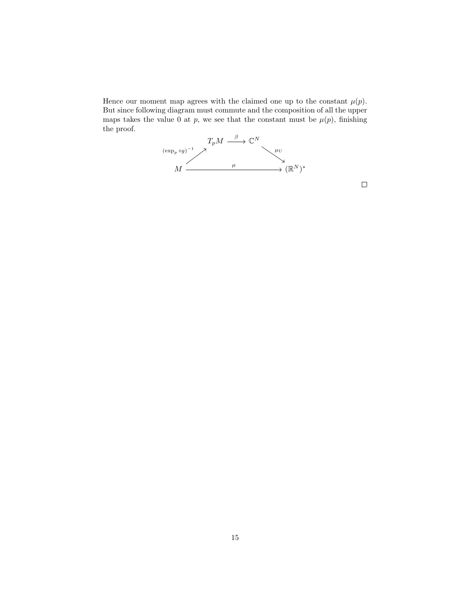Hence our moment map agrees with the claimed one up to the constant  $\mu(p)$ . But since following diagram must commute and the composition of all the upper maps takes the value 0 at p, we see that the constant must be  $\mu(p)$ , finishing the proof.



 $\Box$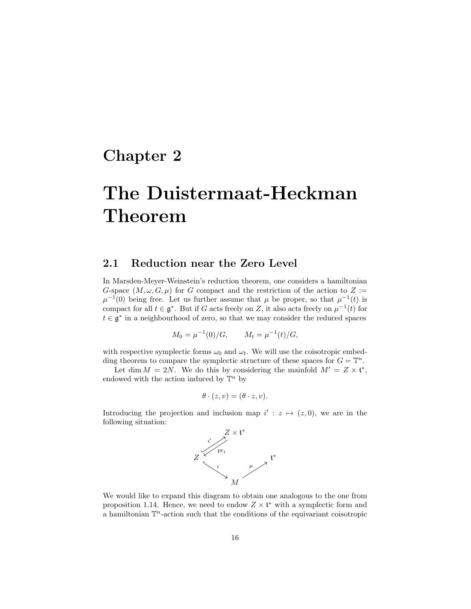# Chapter 2

# The Duistermaat-Heckman Theorem

### 2.1 Reduction near the Zero Level

In Marsden-Meyer-Weinstein's reduction theorem, one considers a hamiltonian G-space  $(M, \omega, G, \mu)$  for G compact and the restriction of the action to Z :=  $\mu^{-1}(0)$  being free. Let us further assume that  $\mu$  be proper, so that  $\mu^{-1}(t)$  is compact for all  $t \in \mathfrak{g}^*$ . But if G acts freely on Z, it also acts freely on  $\mu^{-1}(t)$  for  $t \in \mathfrak{g}^*$  in a neighbourhood of zero, so that we may consider the reduced spaces

$$
M_0 = \mu^{-1}(0)/G, \qquad M_t = \mu^{-1}(t)/G,
$$

with respective symplectic forms  $\omega_0$  and  $\omega_t$ . We will use the coisotropic embedding theorem to compare the symplectic structure of these spaces for  $G = \mathbb{T}^n$ .

Let dim  $M = 2N$ . We do this by considering the mainfold  $M' = Z \times \mathfrak{t}^*$ , endowed with the action induced by  $\mathbb{T}^n$  by

$$
\theta \cdot (z, v) = (\theta \cdot z, v).
$$

Introducing the projection and inclusion map  $i' : z \mapsto (z, 0)$ , we are in the following situation:



We would like to expand this diagram to obtain one analogous to the one from proposition 1.14. Hence, we need to endow  $Z \times \mathfrak{t}^*$  with a symplectic form and a hamiltonian  $\mathbb{T}^n$ -action such that the conditions of the equivariant coisotropic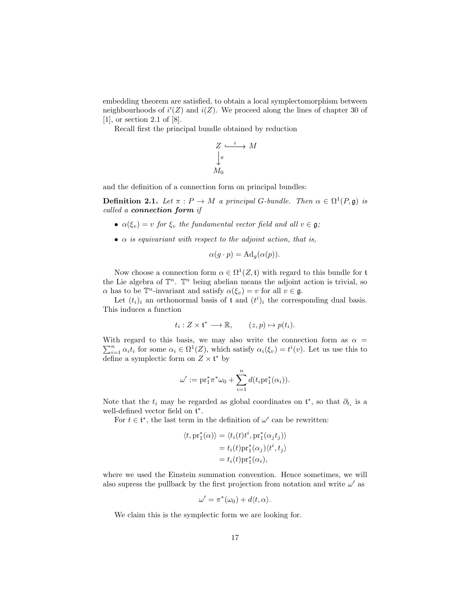embedding theorem are satisfied, to obtain a local symplectomorphism between neighbourhoods of  $i'(Z)$  and  $i(Z)$ . We proceed along the lines of chapter 30 of [1], or section 2.1 of [8].

Recall first the principal bundle obtained by reduction

$$
Z \xrightarrow{\phantom{a}i \phantom{a}} M
$$

$$
\downarrow_{\pi}
$$

$$
M_0
$$

and the definition of a connection form on principal bundles:

**Definition 2.1.** Let  $\pi : P \to M$  a principal G-bundle. Then  $\alpha \in \Omega^1(P, \mathfrak{g})$  is called a connection form if

- $\alpha(\xi_v) = v$  for  $\xi_v$  the fundamental vector field and all  $v \in \mathfrak{g}$ ;
- $\alpha$  is equivariant with respect to the adjoint action, that is,

$$
\alpha(g \cdot p) = \mathrm{Ad}_g(\alpha(p)).
$$

Now choose a connection form  $\alpha \in \Omega^1(Z, \mathfrak{t})$  with regard to this bundle for  $\mathfrak{t}$ the Lie algebra of  $\mathbb{T}^n$ .  $\mathbb{T}^n$  being abelian means the adjoint action is trivial, so  $\alpha$  has to be  $\mathbb{T}^n$ -invariant and satisfy  $\alpha(\xi_v) = v$  for all  $v \in \mathfrak{g}$ .

Let  $(t_i)_i$  an orthonormal basis of t and  $(t^i)_i$  the corresponding dual basis. This induces a function

$$
t_i: Z \times \mathfrak{t}^* \longrightarrow \mathbb{R}, \qquad (z, p) \mapsto p(t_i).
$$

 $\sum_{i=1}^n \alpha_i t_i$  for some  $\alpha_i \in \Omega^1(Z)$ , which satisfy  $\alpha_i(\xi_v) = t^i(v)$ . Let us use this to With regard to this basis, we may also write the connection form as  $\alpha =$ define a symplectic form on  $Z \times \mathfrak{t}^*$  by

$$
\omega' := \mathrm{pr}_1^* \pi^* \omega_0 + \sum_{i=1}^n d(t_i \mathrm{pr}_1^*(\alpha_i)).
$$

Note that the  $t_i$  may be regarded as global coordinates on  $\mathfrak{t}^*$ , so that  $\partial_{t_i}$  is a well-defined vector field on  $\mathfrak{t}^*$ .

For  $t \in \mathfrak{t}^*$ , the last term in the definition of  $\omega'$  can be rewritten:

$$
\langle t, \mathrm{pr}_1^*(\alpha) \rangle = \langle t_i(t)t^i, \mathrm{pr}_1^*(\alpha_j t_j) \rangle
$$
  
=  $t_i(t) \mathrm{pr}_1^*(\alpha_j) \langle t^i, t_j \rangle$   
=  $t_i(t) \mathrm{pr}_1^*(\alpha_i)$ ,

where we used the Einstein summation convention. Hence sometimes, we will also supress the pullback by the first projection from notation and write  $\omega'$  as

$$
\omega' = \pi^*(\omega_0) + d\langle t, \alpha \rangle.
$$

We claim this is the symplectic form we are looking for.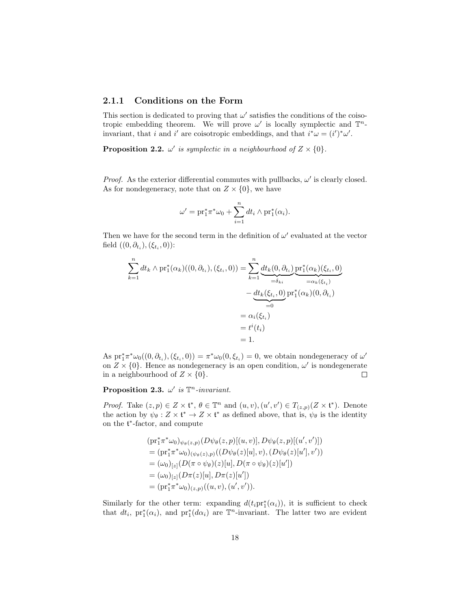#### 2.1.1 Conditions on the Form

This section is dedicated to proving that  $\omega'$  satisfies the conditions of the coisotropic embedding theorem. We will prove  $\omega'$  is locally symplectic and  $\mathbb{T}^n$ invariant, that i and i' are coisotropic embeddings, and that  $i^*\omega = (i')^*\omega'$ .

**Proposition 2.2.**  $\omega'$  is symplectic in a neighbourhood of  $Z \times \{0\}$ .

*Proof.* As the exterior differential commutes with pullbacks,  $\omega'$  is clearly closed. As for nondegeneracy, note that on  $Z \times \{0\}$ , we have

$$
\omega' = \mathrm{pr}_1^* \pi^* \omega_0 + \sum_{i=1}^n dt_i \wedge \mathrm{pr}_1^*(\alpha_i).
$$

Then we have for the second term in the definition of  $\omega'$  evaluated at the vector field  $((0, \partial_{t_i}), (\xi_{t_i}, 0))$ :

$$
\sum_{k=1}^{n} dt_k \wedge \text{pr}_1^*(\alpha_k)((0, \partial_{t_i}), (\xi_{t_i}, 0)) = \sum_{k=1}^{n} \underbrace{dt_k(0, \partial_{t_i})}_{=\delta_{ki}} \underbrace{\text{pr}_1^*(\alpha_k)(\xi_{t_i}, 0)}_{=\alpha_k(\xi_{t_i})} \n- \underbrace{dt_k(\xi_{t_i}, 0)}_{=0} \text{pr}_1^*(\alpha_k)(0, \partial_{t_i}) \n= \alpha_i(\xi_{t_i}) \n= t^i(t_i) \n= 1.
$$

As  $pr_1^* \pi^* \omega_0((0, \partial_{t_i}), (\xi_{t_i}, 0)) = \pi^* \omega_0(0, \xi_{t_i}) = 0$ , we obtain nondegeneracy of  $\omega'$ on  $Z \times \{0\}$ . Hence as nondegeneracy is an open condition,  $\omega'$  is nondegenerate in a neighbourhood of  $Z \times \{0\}$ .  $\Box$ 

Proposition 2.3.  $\omega'$  is  $\mathbb{T}^n$ -invariant.

*Proof.* Take  $(z, p) \in Z \times \mathfrak{t}^*, \theta \in \mathbb{T}^n$  and  $(u, v), (u', v') \in T_{(z,p)}(Z \times \mathfrak{t}^*)$ . Denote the action by  $\psi_{\theta}: Z \times \mathfrak{t}^* \to Z \times \mathfrak{t}^*$  as defined above, that is,  $\psi_{\theta}$  is the identity on the t ∗ -factor, and compute

$$
(\mathrm{pr}_1^* \pi^* \omega_0)_{\psi_{\theta}(z,p)} (D \psi_{\theta}(z,p)[(u,v)], D \psi_{\theta}(z,p)[(u',v')])
$$
  
= 
$$
(\mathrm{pr}_1^* \pi^* \omega_0)_{(\psi_{\theta}(z),p)} ((D \psi_{\theta}(z)[u], v), (D \psi_{\theta}(z)[u'], v'))
$$
  
= 
$$
(\omega_0)_{[z]} (D(\pi \circ \psi_{\theta})(z)[u], D(\pi \circ \psi_{\theta})(z)[u'])
$$
  
= 
$$
(\omega_0)_{[z]} (D \pi(z)[u], D \pi(z)[u'])
$$
  
= 
$$
(\mathrm{pr}_1^* \pi^* \omega_0)_{(z,p)} ((u, v), (u', v')).
$$

Similarly for the other term: expanding  $d(t_ipr_1^*(\alpha_i))$ , it is sufficient to check that  $dt_i$ ,  $\mathrm{pr}_1^*(\alpha_i)$ , and  $\mathrm{pr}_1^*(d\alpha_i)$  are  $\mathbb{T}^n$ -invariant. The latter two are evident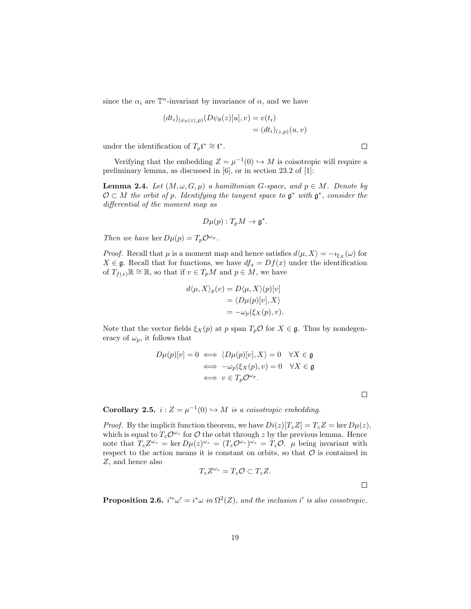since the  $\alpha_i$  are  $\mathbb{T}^n$ -invariant by invariance of  $\alpha$ , and we have

$$
(dt_i)_{(\psi_\theta(z),p)}(D\psi_\theta(z)[u],v) = v(t_i)
$$
  
=  $(dt_i)_{(z,p)}(u,v)$ 

under the identification of  $T_p\mathfrak{t}^* \cong \mathfrak{t}^*$ .

Verifying that the embedding  $Z = \mu^{-1}(0) \hookrightarrow M$  is coisotropic will require a preliminary lemma, as discussed in [6], or in section 23.2 of [1]:

**Lemma 2.4.** Let  $(M, \omega, G, \mu)$  a hamiltonian G-space, and  $p \in M$ . Denote by  $\mathcal{O} \subset M$  the orbit of p. Identifying the tangent space to  $\mathfrak{g}^*$  with  $\mathfrak{g}^*$ , consider the differential of the moment map as

$$
D\mu(p):T_pM\to\mathfrak{g}^*.
$$

Then we have ker  $D\mu(p) = T_p \mathcal{O}^{\omega_p}$ .

*Proof.* Recall that  $\mu$  is a moment map and hence satisfies  $d\langle \mu, X \rangle = -i_{\xi_X}(\omega)$  for  $X \in \mathfrak{g}$ . Recall that for functions, we have  $df_x = Df(x)$  under the identification of  $T_{f(x)}\mathbb{R} \cong \mathbb{R}$ , so that if  $v \in T_pM$  and  $p \in M$ , we have

$$
d\langle \mu, X \rangle_p(v) = D\langle \mu, X \rangle(p)[v]
$$
  
=  $\langle D\mu(p)[v], X \rangle$   
=  $-\omega_p(\xi_X(p), v).$ 

Note that the vector fields  $\xi_X(p)$  at p span  $T_p \mathcal{O}$  for  $X \in \mathfrak{g}$ . Thus by nondegeneracy of  $\omega_p$ , it follows that

$$
D\mu(p)[v] = 0 \iff \langle D\mu(p)[v], X \rangle = 0 \quad \forall X \in \mathfrak{g}
$$
  

$$
\iff -\omega_p(\xi_X(p), v) = 0 \quad \forall X \in \mathfrak{g}
$$
  

$$
\iff v \in T_p \mathcal{O}^{\omega_p}.
$$

 $\Box$ 

 $\Box$ 

**Corollary 2.5.**  $i: Z = \mu^{-1}(0) \hookrightarrow M$  is a coisotropic embedding.

*Proof.* By the implicit function theorem, we have  $Di(z)[T_zZ] = T_zZ = \ker D\mu(z)$ , which is equal to  $T_z \mathcal{O}^{\omega_z}$  for  $\mathcal O$  the orbit through z by the previous lemma. Hence note that  $T_z Z^{\omega_z} = \ker D\mu(z)^{\omega_z} = (T_z \mathcal{O}^{\omega_z})^{\omega_z} = T_z \mathcal{O}$ .  $\mu$  being invariant with respect to the action means it is constant on orbits, so that  $\mathcal O$  is contained in Z, and hence also

$$
T_z Z^{\omega_z} = T_z \mathcal{O} \subset T_z Z.
$$

**Proposition 2.6.**  $i'^*\omega' = i^*\omega$  in  $\Omega^2(Z)$ , and the inclusion i' is also coisotropic.

 $\Box$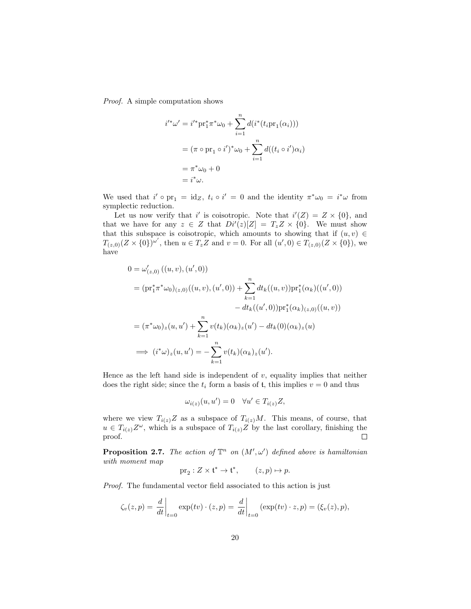Proof. A simple computation shows

$$
i^{\prime \ast} \omega' = i^{\prime \ast} \mathrm{pr}_1^* \pi^* \omega_0 + \sum_{i=1}^n d(i^* (t_i \mathrm{pr}_1(\alpha_i)))
$$
  
=  $(\pi \circ \mathrm{pr}_1 \circ i')^* \omega_0 + \sum_{i=1}^n d((t_i \circ i') \alpha_i)$   
=  $\pi^* \omega_0 + 0$   
=  $i^* \omega$ .

We used that  $i' \circ pr_1 = id_Z$ ,  $t_i \circ i' = 0$  and the identity  $\pi^* \omega_0 = i^* \omega$  from symplectic reduction.

Let us now verify that i' is coisotropic. Note that  $i'(Z) = Z \times \{0\}$ , and that we have for any  $z \in Z$  that  $Di'(z)[Z] = T_z Z \times \{0\}$ . We must show that this subspace is coisotropic, which amounts to showing that if  $(u, v) \in$  $T_{(z,0)}(Z \times \{0\})^{\omega}$ , then  $u \in T_z Z$  and  $v = 0$ . For all  $(u',0) \in T_{(z,0)}(Z \times \{0\})$ , we have

$$
0 = \omega'_{(z,0)}((u,v),(u',0))
$$
  
\n
$$
= (\mathrm{pr}_{1}^{*}\pi^{*}\omega_{0})_{(z,0)}((u,v),(u',0)) + \sum_{k=1}^{n} dt_{k}((u,v))\mathrm{pr}_{1}^{*}(\alpha_{k})((u',0))
$$
  
\n
$$
- dt_{k}((u',0))\mathrm{pr}_{1}^{*}(\alpha_{k})_{(z,0)}((u,v))
$$
  
\n
$$
= (\pi^{*}\omega_{0})_{z}(u,u') + \sum_{k=1}^{n} v(t_{k})(\alpha_{k})_{z}(u') - dt_{k}(0)(\alpha_{k})_{z}(u)
$$
  
\n
$$
\implies (i^{*}\omega)_{z}(u,u') = -\sum_{k=1}^{n} v(t_{k})(\alpha_{k})_{z}(u').
$$

Hence as the left hand side is independent of  $v$ , equality implies that neither does the right side; since the  $t_i$  form a basis of  $t$ , this implies  $v = 0$  and thus

$$
\omega_{i(z)}(u, u') = 0 \quad \forall u' \in T_{i(z)}Z,
$$

where we view  $T_{i(z)}Z$  as a subspace of  $T_{i(z)}M$ . This means, of course, that  $u \in T_{i(z)}Z^{\omega}$ , which is a subspace of  $T_{i(z)}Z$  by the last corollary, finishing the proof.  $\Box$ 

**Proposition 2.7.** The action of  $\mathbb{T}^n$  on  $(M', \omega')$  defined above is hamiltonian with moment map

$$
\operatorname{pr}_2:Z\times\mathfrak{t}^*\to\mathfrak{t}^*,\qquad (z,p)\mapsto p.
$$

Proof. The fundamental vector field associated to this action is just

$$
\zeta_v(z,p) = \left. \frac{d}{dt} \right|_{t=0} \exp(tv) \cdot (z,p) = \left. \frac{d}{dt} \right|_{t=0} (\exp(tv) \cdot z, p) = (\xi_v(z), p),
$$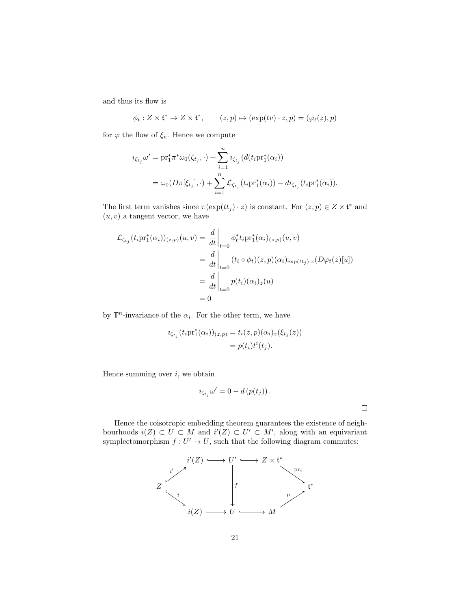and thus its flow is

$$
\phi_t: Z \times \mathfrak{t}^* \to Z \times \mathfrak{t}^*, \qquad (z,p) \mapsto (\exp(tv) \cdot z, p) = (\varphi_t(z), p)
$$

for  $\varphi$  the flow of  $\xi_v$ . Hence we compute

$$
\begin{split} \imath_{\zeta_{t_j}} \omega' &= \mathrm{pr}_1^* \pi^* \omega_0(\zeta_{t_j}, \cdot) + \sum_{i=1}^n \imath_{\zeta_{t_j}} (d(t_i \mathrm{pr}_1^*(\alpha_i)) \\ &= \omega_0(D\pi[\xi_{t_j}], \cdot) + \sum_{i=1}^n \mathcal{L}_{\zeta_{t_j}}(t_i \mathrm{pr}_1^*(\alpha_i)) - d\imath_{\zeta_{t_j}}(t_i \mathrm{pr}_1^*(\alpha_i)). \end{split}
$$

The first term vanishes since  $\pi(\exp(tt_j) \cdot z)$  is constant. For  $(z, p) \in Z \times \mathfrak{t}^*$  and  $(u, v)$  a tangent vector, we have

$$
\mathcal{L}_{\zeta_{t_j}}(t_i \mathrm{pr}_1^*(\alpha_i))_{(z,p)}(u,v) = \frac{d}{dt}\Big|_{t=0} \phi_t^* t_i \mathrm{pr}_1^*(\alpha_i)_{(z,p)}(u,v)
$$
  
\n
$$
= \frac{d}{dt}\Big|_{t=0} (t_i \circ \phi_t)(z, p)(\alpha_i)_{\exp(tt_j) \cdot z}(D\varphi_t(z)[u])
$$
  
\n
$$
= \frac{d}{dt}\Big|_{t=0} p(t_i)(\alpha_i)_z(u)
$$
  
\n
$$
= 0
$$

by  $\mathbb{T}^n$ -invariance of the  $\alpha_i$ . For the other term, we have

$$
\iota_{\zeta_{t_j}}(t_i \mathrm{pr}_1^*(\alpha_i))_{(z,p)} = t_i(z,p)(\alpha_i)_z(\xi_{t_j}(z))
$$
  
=  $p(t_i)t^i(t_j).$ 

Hence summing over  $i$ , we obtain

$$
\iota_{\zeta_{t_j}}\omega' = 0 - d\left(p(t_j)\right).
$$

 $\Box$ 

Hence the coisotropic embedding theorem guarantees the existence of neighbourhoods  $i(Z) \subset U \subset M$  and  $i'(Z) \subset U' \subset M'$ , along with an equivariant symplectomorphism  $f: U' \to U$ , such that the following diagram commutes:

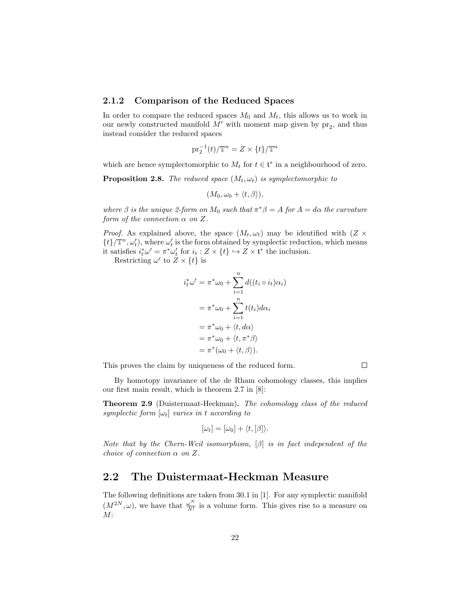#### 2.1.2 Comparison of the Reduced Spaces

In order to compare the reduced spaces  $M_0$  and  $M_t$ , this allows us to work in our newly constructed manifold  $M'$  with moment map given by  $pr_2$ , and thus instead consider the reduced spaces

$$
\operatorname{pr}_2^{-1}(t)/\mathbb{T}^n = Z \times \{t\}/\mathbb{T}^n
$$

which are hence symplectomorphic to  $M_t$  for  $t \in \mathfrak{t}^*$  in a neighbourhood of zero.

**Proposition 2.8.** The reduced space  $(M_t, \omega_t)$  is symplectomorphic to

$$
(M_0, \omega_0 + \langle t, \beta \rangle),
$$

where  $\beta$  is the unique 2-form on  $M_0$  such that  $\pi^*\beta = A$  for  $A = d\alpha$  the curvature form of the connection  $\alpha$  on Z.

*Proof.* As explained above, the space  $(M_t, \omega_t)$  may be identified with  $(Z \times$  $\{t\}/\mathbb{T}^n, \omega'_t$ , where  $\omega'_t$  is the form obtained by symplectic reduction, which means it satisfies  $i_t^* \omega' = \pi^* \omega'_t$  for  $i_t : Z \times \{t\} \hookrightarrow Z \times \mathfrak{t}^*$  the inclusion.

Restricting  $\omega'$  to  $Z \times \{t\}$  is

$$
i_t^* \omega' = \pi^* \omega_0 + \sum_{i=1}^n d((t_i \circ i_t) \alpha_i)
$$
  
= 
$$
\pi^* \omega_0 + \sum_{i=1}^n t(t_i) d\alpha_i
$$
  
= 
$$
\pi^* \omega_0 + \langle t, d\alpha \rangle
$$
  
= 
$$
\pi^* \omega_0 + \langle t, \pi^* \beta \rangle
$$
  
= 
$$
\pi^* (\omega_0 + \langle t, \beta \rangle).
$$

This proves the claim by uniqueness of the reduced form.

 $\Box$ 

By homotopy invariance of the de Rham cohomology classes, this implies our first main result, which is theorem 2.7 in [8]:

Theorem 2.9 (Duistermaat-Heckman). The cohomology class of the reduced symplectic form  $[\omega_t]$  varies in t according to

$$
[\omega_t] = [\omega_0] + \langle t, [\beta] \rangle.
$$

Note that by the Chern-Weil isomorphism,  $\lbrack \beta \rbrack$  is in fact independent of the choice of connection  $\alpha$  on  $Z$ .

### 2.2 The Duistermaat-Heckman Measure

The following definitions are taken from 30.1 in [1]. For any symplectic manifold  $(M^{2N}, \omega)$ , we have that  $\frac{\omega^N}{N!}$  $\frac{\omega^N}{N!}$  is a volume form. This gives rise to a measure on  $M$ :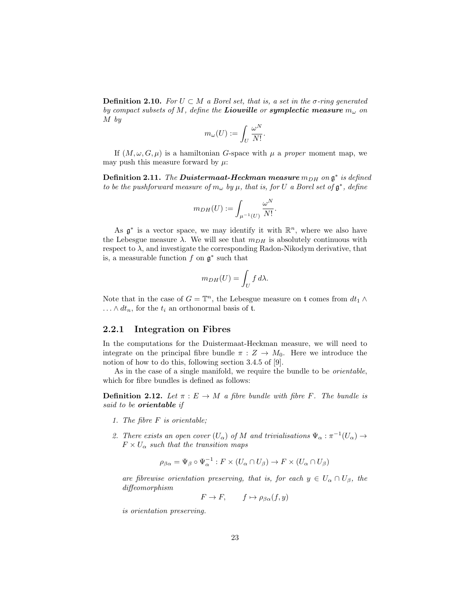**Definition 2.10.** For  $U \subset M$  a Borel set, that is, a set in the  $\sigma$ -ring generated by compact subsets of M, define the **Liouville** or **symplectic measure**  $m_{\omega}$  on M by

$$
m_{\omega}(U):=\int_U \frac{\omega^N}{N!}.
$$

If  $(M, \omega, G, \mu)$  is a hamiltonian G-space with  $\mu$  a proper moment map, we may push this measure forward by  $\mu$ :

**Definition 2.11.** The **Duistermaat-Heckman measure**  $m_{DH}$  on  $\mathfrak{g}^*$  is defined to be the pushforward measure of  $m_\omega$  by  $\mu$ , that is, for U a Borel set of  $\mathfrak{g}^*$ , define

$$
m_{DH}(U):=\int_{\mu^{-1}(U)}\frac{\omega^N}{N!}
$$

.

As  $\mathfrak{g}^*$  is a vector space, we may identify it with  $\mathbb{R}^n$ , where we also have the Lebesgue measure  $\lambda$ . We will see that  $m_{DH}$  is absolutely continuous with respect to  $\lambda$ , and investigate the corresponding Radon-Nikodym derivative, that is, a measurable function  $f$  on  $\mathfrak{g}^*$  such that

$$
m_{DH}(U) = \int_U f \, d\lambda.
$$

Note that in the case of  $G = \mathbb{T}^n$ , the Lebesgue measure on t comes from  $dt_1 \wedge dt_2$  $\ldots \wedge dt_n$ , for the  $t_i$  an orthonormal basis of t.

#### 2.2.1 Integration on Fibres

In the computations for the Duistermaat-Heckman measure, we will need to integrate on the principal fibre bundle  $\pi : Z \to M_0$ . Here we introduce the notion of how to do this, following section 3.4.5 of [9].

As in the case of a single manifold, we require the bundle to be orientable, which for fibre bundles is defined as follows:

**Definition 2.12.** Let  $\pi : E \to M$  a fibre bundle with fibre F. The bundle is said to be orientable if

- 1. The fibre F is orientable;
- 2. There exists an open cover  $(U_\alpha)$  of M and trivialisations  $\Psi_\alpha : \pi^{-1}(U_\alpha) \to$  $F \times U_{\alpha}$  such that the transition maps

$$
\rho_{\beta\alpha} = \Psi_{\beta} \circ \Psi_{\alpha}^{-1} : F \times (U_{\alpha} \cap U_{\beta}) \to F \times (U_{\alpha} \cap U_{\beta})
$$

are fibrewise orientation preserving, that is, for each  $y \in U_\alpha \cap U_\beta$ , the diffeomorphism

$$
F \to F, \qquad f \mapsto \rho_{\beta\alpha}(f, y)
$$

is orientation preserving.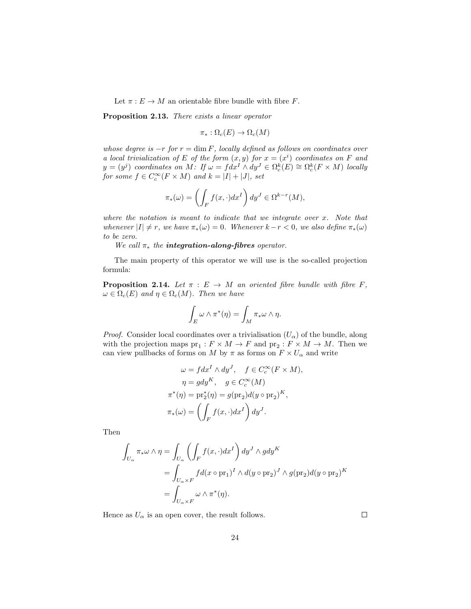Let  $\pi : E \to M$  an orientable fibre bundle with fibre F.

Proposition 2.13. There exists a linear operator

 $\pi_* : \Omega_c(E) \to \Omega_c(M)$ 

whose degree is  $-r$  for  $r = \dim F$ , locally defined as follows on coordinates over a local trivialization of E of the form  $(x, y)$  for  $x = (x<sup>i</sup>)$  coordinates on F and  $y = (y^j)$  coordinates on M: If  $\omega = f dx^i \wedge dy^J \in \Omega_c^k(E) \cong \Omega_c^k(F \times M)$  locally for some  $f \in C_c^{\infty}(F \times M)$  and  $k = |I| + |J|$ , set

$$
\pi_*(\omega) = \left(\int_F f(x,\cdot)dx^I\right) dy^J \in \Omega^{k-r}(M),
$$

where the notation is meant to indicate that we integrate over  $x$ . Note that whenever  $|I| \neq r$ , we have  $\pi_*(\omega) = 0$ . Whenever  $k - r < 0$ , we also define  $\pi_*(\omega)$ to be zero.

We call  $\pi_*$  the **integration-along-fibres** operator.

The main property of this operator we will use is the so-called projection formula:

**Proposition 2.14.** Let  $\pi : E \to M$  an oriented fibre bundle with fibre F,  $\omega \in \Omega_c(E)$  and  $\eta \in \Omega_c(M)$ . Then we have

$$
\int_E \omega \wedge \pi^*(\eta) = \int_M \pi_* \omega \wedge \eta.
$$

*Proof.* Consider local coordinates over a trivialisation  $(U_\alpha)$  of the bundle, along with the projection maps  $pr_1: F \times M \to F$  and  $pr_2: F \times M \to M$ . Then we can view pullbacks of forms on M by  $\pi$  as forms on  $F \times U_{\alpha}$  and write

$$
\omega = f dx^I \wedge dy^J, \quad f \in C_c^{\infty}(F \times M),
$$

$$
\eta = g dy^K, \quad g \in C_c^{\infty}(M)
$$

$$
\pi^*(\eta) = \text{pr}_2^*(\eta) = g(\text{pr}_2)d(y \circ \text{pr}_2)^K,
$$

$$
\pi_*(\omega) = \left(\int_F f(x, \cdot)dx^I\right) dy^J.
$$

Then

$$
\int_{U_{\alpha}} \pi_{*} \omega \wedge \eta = \int_{U_{\alpha}} \left( \int_{F} f(x, \cdot) dx^{I} \right) dy^{J} \wedge g dy^{K}
$$

$$
= \int_{U_{\alpha} \times F} f d(x \circ pr_{1})^{I} \wedge d(y \circ pr_{2})^{J} \wedge g (pr_{2}) d(y \circ pr_{2})^{K}
$$

$$
= \int_{U_{\alpha} \times F} \omega \wedge \pi^{*}(\eta).
$$

Hence as  $U_{\alpha}$  is an open cover, the result follows.

 $\Box$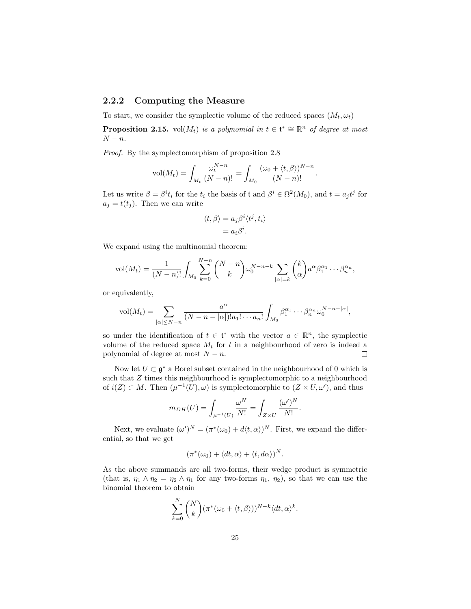#### 2.2.2 Computing the Measure

To start, we consider the symplectic volume of the reduced spaces  $(M_t, \omega_t)$ 

**Proposition 2.15.** vol $(M_t)$  is a polynomial in  $t \in \mathfrak{t}^* \cong \mathbb{R}^n$  of degree at most  $N - n$ .

Proof. By the symplectomorphism of proposition 2.8

$$
\text{vol}(M_t) = \int_{M_t} \frac{\omega_t^{N-n}}{(N-n)!} = \int_{M_0} \frac{(\omega_0 + \langle t, \beta \rangle)^{N-n}}{(N-n)!}.
$$

Let us write  $\beta = \beta^i t_i$  for the  $t_i$  the basis of t and  $\beta^i \in \Omega^2(M_0)$ , and  $t = a_j t^j$  for  $a_i = t(t_i)$ . Then we can write

$$
\langle t, \beta \rangle = a_j \beta^i \langle t^j, t_i \rangle
$$

$$
= a_i \beta^i.
$$

We expand using the multinomial theorem:

$$
\text{vol}(M_t) = \frac{1}{(N-n)!} \int_{M_0} \sum_{k=0}^{N-n} {N-n \choose k} \omega_0^{N-n-k} \sum_{|\alpha|=k} {k \choose \alpha} a^{\alpha} \beta_1^{\alpha_1} \cdots \beta_n^{\alpha_n},
$$

or equivalently,

$$
\text{vol}(M_t) = \sum_{|\alpha| \leq N-n} \frac{a^{\alpha}}{(N-n-|\alpha|)! a_1! \cdots a_n!} \int_{M_0} \beta_1^{\alpha_1} \cdots \beta_n^{\alpha_n} \omega_0^{N-n-|\alpha|},
$$

so under the identification of  $t \in \mathfrak{t}^*$  with the vector  $a \in \mathbb{R}^n$ , the symplectic volume of the reduced space  $M_t$  for t in a neighbourhood of zero is indeed a polynomial of degree at most  $N - n$ .  $\Box$ 

Now let  $U \subset \mathfrak{g}^*$  a Borel subset contained in the neighbourhood of 0 which is such that Z times this neighbourhood is symplectomorphic to a neighbourhood of  $i(Z) \subset M$ . Then  $(\mu^{-1}(U), \omega)$  is symplectomorphic to  $(Z \times U, \omega')$ , and thus

$$
m_{DH}(U) = \int_{\mu^{-1}(U)} \frac{\omega^N}{N!} = \int_{Z \times U} \frac{(\omega')^N}{N!}.
$$

Next, we evaluate  $(\omega')^N = (\pi^*(\omega_0) + d\langle t, \alpha \rangle)^N$ . First, we expand the differential, so that we get

$$
(\pi^*(\omega_0) + \langle dt, \alpha \rangle + \langle t, d\alpha \rangle)^N.
$$

As the above summands are all two-forms, their wedge product is symmetric (that is,  $\eta_1 \wedge \eta_2 = \eta_2 \wedge \eta_1$  for any two-forms  $\eta_1$ ,  $\eta_2$ ), so that we can use the binomial theorem to obtain

$$
\sum_{k=0}^{N} {N \choose k} (\pi^*(\omega_0 + \langle t, \beta \rangle))^{N-k} \langle dt, \alpha \rangle^k.
$$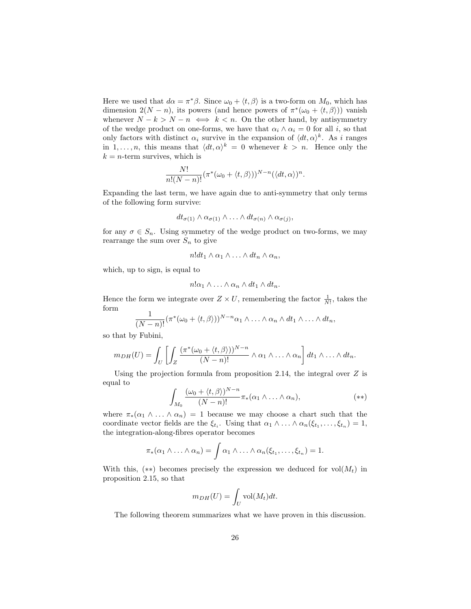Here we used that  $d\alpha = \pi^*\beta$ . Since  $\omega_0 + \langle t, \beta \rangle$  is a two-form on  $M_0$ , which has dimension  $2(N - n)$ , its powers (and hence powers of  $\pi^*(\omega_0 + \langle t, \beta \rangle)$ ) vanish whenever  $N - k > N - n \iff k < n$ . On the other hand, by antisymmetry of the wedge product on one-forms, we have that  $\alpha_i \wedge \alpha_i = 0$  for all i, so that only factors with distinct  $\alpha_i$  survive in the expansion of  $\langle dt, \alpha \rangle^k$ . As i ranges in 1,..., *n*, this means that  $\langle dt, \alpha \rangle^k = 0$  whenever  $k > n$ . Hence only the  $k = n$ -term survives, which is

$$
\frac{N!}{n!(N-n)!}(\pi^*(\omega_0+\langle t,\beta\rangle))^{N-n}(\langle dt,\alpha\rangle)^n.
$$

Expanding the last term, we have again due to anti-symmetry that only terms of the following form survive:

$$
dt_{\sigma(1)} \wedge \alpha_{\sigma(1)} \wedge \ldots \wedge dt_{\sigma(n)} \wedge \alpha_{\sigma(j)},
$$

for any  $\sigma \in S_n$ . Using symmetry of the wedge product on two-forms, we may rearrange the sum over  $S_n$  to give

$$
n!dt_1 \wedge \alpha_1 \wedge \ldots \wedge dt_n \wedge \alpha_n,
$$

which, up to sign, is equal to

$$
n!\alpha_1\wedge\ldots\wedge\alpha_n\wedge dt_1\wedge dt_n.
$$

Hence the form we integrate over  $Z \times U$ , remembering the factor  $\frac{1}{N!}$ , takes the form

$$
\frac{1}{(N-n)!}(\pi^*(\omega_0+\langle t,\beta\rangle))^{N-n}\alpha_1\wedge\ldots\wedge\alpha_n\wedge dt_1\wedge\ldots\wedge dt_n,
$$

so that by Fubini,

$$
m_{DH}(U) = \int_U \left[ \int_Z \frac{(\pi^*(\omega_0 + \langle t, \beta \rangle))^N - n}{(N - n)!} \wedge \alpha_1 \wedge \ldots \wedge \alpha_n \right] dt_1 \wedge \ldots \wedge dt_n.
$$

Using the projection formula from proposition 2.14, the integral over  $Z$  is equal to

$$
\int_{M_0} \frac{(\omega_0 + \langle t, \beta \rangle)^{N-n}}{(N-n)!} \pi_*(\alpha_1 \wedge \ldots \wedge \alpha_n), \qquad (*)
$$

where  $\pi_*(\alpha_1 \wedge \ldots \wedge \alpha_n) = 1$  because we may choose a chart such that the coordinate vector fields are the  $\xi_{t_i}$ . Using that  $\alpha_1 \wedge \ldots \wedge \alpha_n(\xi_{t_1}, \ldots, \xi_{t_n}) = 1$ , the integration-along-fibres operator becomes

$$
\pi_*(\alpha_1 \wedge \ldots \wedge \alpha_n) = \int \alpha_1 \wedge \ldots \wedge \alpha_n(\xi_{t_1}, \ldots, \xi_{t_n}) = 1.
$$

With this,  $(**)$  becomes precisely the expression we deduced for vol $(M_t)$  in proposition 2.15, so that

$$
m_{DH}(U) = \int_U \text{vol}(M_t) dt.
$$

The following theorem summarizes what we have proven in this discussion.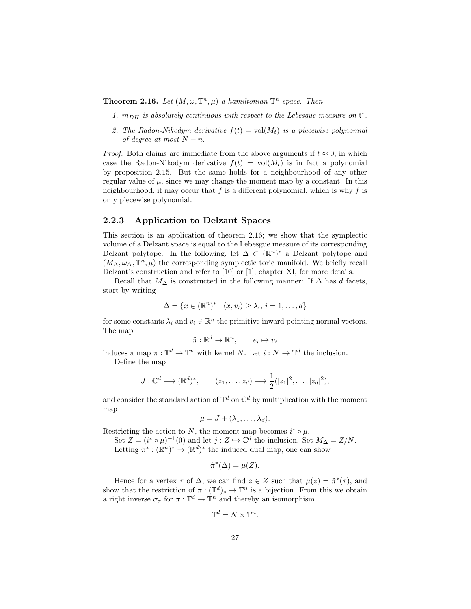**Theorem 2.16.** Let  $(M, \omega, \mathbb{T}^n, \mu)$  a hamiltonian  $\mathbb{T}^n$ -space. Then

- 1.  $m_{DH}$  is absolutely continuous with respect to the Lebesgue measure on  $\mathfrak{t}^*$ .
- 2. The Radon-Nikodym derivative  $f(t) = vol(M_t)$  is a piecewise polynomial of degree at most  $N - n$ .

*Proof.* Both claims are immediate from the above arguments if  $t \approx 0$ , in which case the Radon-Nikodym derivative  $f(t) = vol(M_t)$  is in fact a polynomial by proposition 2.15. But the same holds for a neighbourhood of any other regular value of  $\mu$ , since we may change the moment map by a constant. In this neighbourhood, it may occur that  $f$  is a different polynomial, which is why  $f$  is only piecewise polynomial.  $\Box$ 

### 2.2.3 Application to Delzant Spaces

This section is an application of theorem 2.16; we show that the symplectic volume of a Delzant space is equal to the Lebesgue measure of its corresponding Delzant polytope. In the following, let  $\Delta \subset (\mathbb{R}^n)^*$  a Delzant polytope and  $(M_{\Delta}, \omega_{\Delta}, \mathbb{T}^n, \mu)$  the corresponding symplectic toric manifold. We briefly recall Delzant's construction and refer to [10] or [1], chapter XI, for more details.

Recall that  $M_\Delta$  is constructed in the following manner: If  $\Delta$  has  $d$  facets, start by writing

$$
\Delta = \{x \in (\mathbb{R}^n)^* \mid \langle x, v_i \rangle \ge \lambda_i, i = 1, \dots, d\}
$$

for some constants  $\lambda_i$  and  $v_i \in \mathbb{R}^n$  the primitive inward pointing normal vectors. The map

$$
\tilde{\pi}: \mathbb{R}^d \to \mathbb{R}^n, \qquad e_i \mapsto v_i
$$

induces a map  $\pi: \mathbb{T}^d \to \mathbb{T}^n$  with kernel N. Let  $i: N \hookrightarrow \mathbb{T}^d$  the inclusion. Define the map

$$
J: \mathbb{C}^d \longrightarrow (\mathbb{R}^d)^*, \qquad (z_1, \ldots, z_d) \longmapsto \frac{1}{2}(|z_1|^2, \ldots, |z_d|^2),
$$

and consider the standard action of  $\mathbb{T}^d$  on  $\mathbb{C}^d$  by multiplication with the moment map

$$
\mu = J + (\lambda_1, \ldots, \lambda_d).
$$

Restricting the action to N, the moment map becomes  $i^* \circ \mu$ .

Set  $Z = (i^* \circ \mu)^{-1}(0)$  and let  $j : Z \hookrightarrow \mathbb{C}^d$  the inclusion. Set  $M_{\Delta} = Z/N$ . Letting  $\tilde{\pi}^* : (\mathbb{R}^n)^* \to (\mathbb{R}^d)^*$  the induced dual map, one can show

$$
\tilde{\pi}^*(\Delta) = \mu(Z).
$$

Hence for a vertex  $\tau$  of  $\Delta$ , we can find  $z \in Z$  such that  $\mu(z) = \tilde{\pi}^*(\tau)$ , and show that the restriction of  $\pi : (\mathbb{T}^d)_z \to \mathbb{T}^n$  is a bijection. From this we obtain a right inverse  $\sigma_{\tau}$  for  $\pi: \mathbb{T}^d \to \mathbb{T}^n$  and thereby an isomorphism

$$
\mathbb{T}^d = N \times \mathbb{T}^n.
$$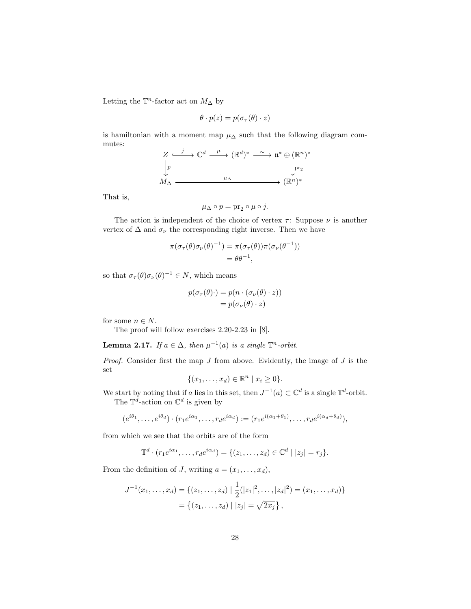Letting the  $\mathbb{T}^n$ -factor act on  $M_\Delta$  by

$$
\theta \cdot p(z) = p(\sigma_\tau(\theta) \cdot z)
$$

is hamiltonian with a moment map  $\mu_\Delta$  such that the following diagram commutes:

$$
Z \xrightarrow{j} \mathbb{C}^d \xrightarrow{\mu} (\mathbb{R}^d)^* \xrightarrow{\sim} \mathfrak{n}^* \oplus (\mathbb{R}^n)^*
$$
  
\n
$$
\downarrow p
$$
  
\n
$$
M_{\Delta} \xrightarrow{\mu_{\Delta}} (\mathbb{R}^n)^*
$$

That is,

$$
\mu_\Delta\circ p=\operatorname{pr}_2\circ\mu\circ j.
$$

The action is independent of the choice of vertex  $\tau$ : Suppose  $\nu$  is another vertex of  $\Delta$  and  $\sigma_{\nu}$  the corresponding right inverse. Then we have

$$
\pi(\sigma_{\tau}(\theta)\sigma_{\nu}(\theta)^{-1}) = \pi(\sigma_{\tau}(\theta))\pi(\sigma_{\nu}(\theta^{-1}))
$$
  
=  $\theta\theta^{-1}$ ,

so that  $\sigma_{\tau}(\theta)\sigma_{\nu}(\theta)^{-1} \in N$ , which means

$$
p(\sigma_{\tau}(\theta)\cdot) = p(n \cdot (\sigma_{\nu}(\theta) \cdot z))
$$

$$
= p(\sigma_{\nu}(\theta) \cdot z)
$$

for some  $n \in N$ .

The proof will follow exercises 2.20-2.23 in [8].

**Lemma 2.17.** If  $a \in \Delta$ , then  $\mu^{-1}(a)$  is a single  $\mathbb{T}^n$ -orbit.

*Proof.* Consider first the map  $J$  from above. Evidently, the image of  $J$  is the set

$$
\{(x_1,\ldots,x_d)\in\mathbb{R}^n\mid x_i\geq 0\}.
$$

We start by noting that if a lies in this set, then  $J^{-1}(a) \subset \mathbb{C}^d$  is a single  $\mathbb{T}^d$ -orbit. The  $\mathbb{T}^d$ -action on  $\mathbb{C}^d$  is given by

$$
(e^{i\theta_1},\ldots,e^{i\theta_d})\cdot(r_1e^{i\alpha_1},\ldots,r_de^{i\alpha_d}):=(r_1e^{i(\alpha_1+\theta_1)},\ldots,r_de^{i(\alpha_d+\theta_d)}),
$$

from which we see that the orbits are of the form

$$
\mathbb{T}^d \cdot (r_1 e^{i\alpha_1}, \dots, r_d e^{i\alpha_d}) = \{ (z_1, \dots, z_d) \in \mathbb{C}^d \mid |z_j| = r_j \}.
$$

From the definition of J, writing  $a = (x_1, \ldots, x_d)$ ,

$$
J^{-1}(x_1,\ldots,x_d) = \{(z_1,\ldots,z_d) \mid \frac{1}{2}(|z_1|^2,\ldots,|z_d|^2) = (x_1,\ldots,x_d)\}
$$
  
=  $\{(z_1,\ldots,z_d) \mid |z_j| = \sqrt{2x_j}\},$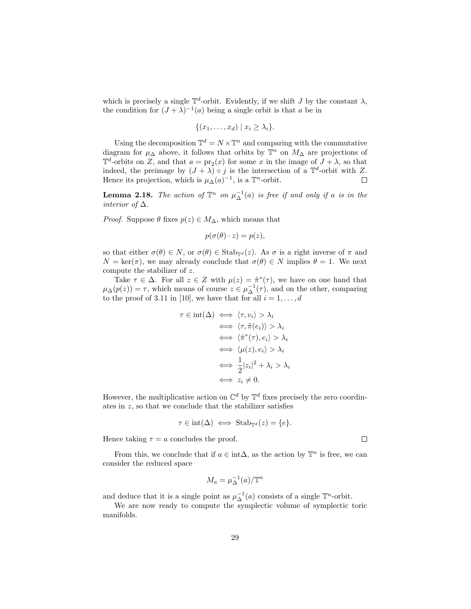which is precisely a single  $\mathbb{T}^d$ -orbit. Evidently, if we shift J by the constant  $\lambda$ , the condition for  $(J + \lambda)^{-1}(a)$  being a single orbit is that a be in

$$
\{(x_1,\ldots,x_d) \mid x_i \geq \lambda_i\}.
$$

Using the decomposition  $\mathbb{T}^d = N \times \mathbb{T}^n$  and comparing with the commutative diagram for  $\mu_{\Delta}$  above, it follows that orbits by  $\mathbb{T}^n$  on  $M_{\Delta}$  are projections of  $\mathbb{T}^d$ -orbits on Z, and that  $a = \text{pr}_2(x)$  for some x in the image of  $J + \lambda$ , so that indeed, the preimage by  $(J + \lambda) \circ j$  is the intersection of a  $\mathbb{T}^d$ -orbit with Z. Hence its projection, which is  $\mu_{\Delta}(a)^{-1}$ , is a  $\mathbb{T}^n$ -orbit.  $\Box$ 

**Lemma 2.18.** The action of  $\mathbb{T}^n$  on  $\mu_{\Delta}^{-1}(a)$  is free if and only if a is in the *interior of*  $\Delta$ .

*Proof.* Suppose  $\theta$  fixes  $p(z) \in M_{\Delta}$ , which means that

$$
p(\sigma(\theta) \cdot z) = p(z),
$$

so that either  $\sigma(\theta) \in N$ , or  $\sigma(\theta) \in \text{Stab}_{\mathbb{T}^d}(z)$ . As  $\sigma$  is a right inverse of  $\pi$  and  $N = \text{ker}(\pi)$ , we may already conclude that  $\sigma(\theta) \in N$  implies  $\theta = 1$ . We next compute the stabilizer of  $z$ .

Take  $\tau \in \Delta$ . For all  $z \in Z$  with  $\mu(z) = \tilde{\pi}^*(\tau)$ , we have on one hand that  $\mu_{\Delta}(p(z)) = \tau$ , which means of course  $z \in \mu_{\Delta}^{-1}(\tau)$ , and on the other, comparing to the proof of 3.11 in [10], we have that for all  $i = 1, \ldots, d$ 

$$
\tau \in \text{int}(\Delta) \iff \langle \tau, v_i \rangle > \lambda_i
$$
  
\n
$$
\iff \langle \tau, \tilde{\pi}(e_i) \rangle > \lambda_i
$$
  
\n
$$
\iff \langle \tilde{\pi}^*(\tau), e_i \rangle > \lambda_i
$$
  
\n
$$
\iff \langle \mu(z), e_i \rangle > \lambda_i
$$
  
\n
$$
\iff \frac{1}{2}|z_i|^2 + \lambda_i > \lambda_i
$$
  
\n
$$
\iff z_i \neq 0.
$$

However, the multiplicative action on  $\mathbb{C}^d$  by  $\mathbb{T}^d$  fixes precisely the zero coordinates in  $z$ , so that we conclude that the stabilizer satisfies

$$
\tau \in \text{int}(\Delta) \iff \text{Stab}_{\mathbb{T}^d}(z) = \{e\}.
$$

Hence taking  $\tau = a$  concludes the proof.

From this, we conclude that if  $a \in \text{int}\Delta$ , as the action by  $\mathbb{T}^n$  is free, we can consider the reduced space

$$
M_a = \mu_{\Delta}^{-1}(a)/{\mathbb T}^n
$$

and deduce that it is a single point as  $\mu_{\Delta}^{-1}(a)$  consists of a single  $\mathbb{T}^n$ -orbit.

We are now ready to compute the symplectic volume of symplectic toric manifolds.

 $\Box$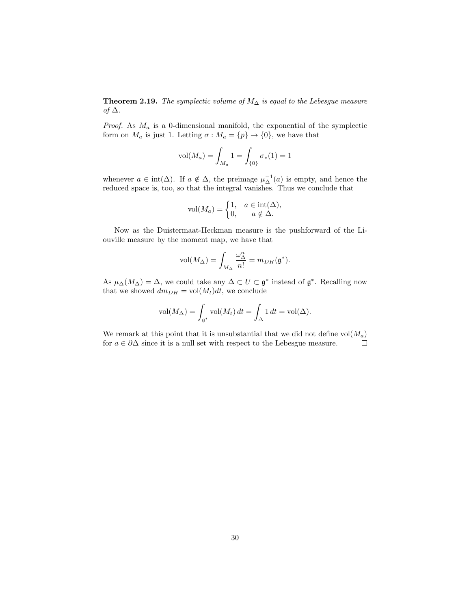**Theorem 2.19.** The symplectic volume of  $M_{\Delta}$  is equal to the Lebesgue measure of  $\Delta$ .

*Proof.* As  $M_a$  is a 0-dimensional manifold, the exponential of the symplectic form on  $M_a$  is just 1. Letting  $\sigma : M_a = \{p\} \to \{0\}$ , we have that

$$
\text{vol}(M_a) = \int_{M_a} 1 = \int_{\{0\}} \sigma_*(1) = 1
$$

whenever  $a \in \text{int}(\Delta)$ . If  $a \notin \Delta$ , the preimage  $\mu_{\Delta}^{-1}(a)$  is empty, and hence the reduced space is, too, so that the integral vanishes. Thus we conclude that

$$
\text{vol}(M_a) = \begin{cases} 1, & a \in \text{int}(\Delta), \\ 0, & a \notin \Delta. \end{cases}
$$

Now as the Duistermaat-Heckman measure is the pushforward of the Liouville measure by the moment map, we have that

$$
\text{vol}(M_{\Delta}) = \int_{M_{\Delta}} \frac{\omega_{\Delta}^n}{n!} = m_{DH}(\mathfrak{g}^*).
$$

As  $\mu_{\Delta}(M_{\Delta}) = \Delta$ , we could take any  $\Delta \subset U \subset \mathfrak{g}^*$  instead of  $\mathfrak{g}^*$ . Recalling now that we showed  $dm_{DH} = vol(M_t)dt$ , we conclude

$$
\text{vol}(M_{\Delta}) = \int_{\mathfrak{g}^*} \text{vol}(M_t) dt = \int_{\Delta} 1 dt = \text{vol}(\Delta).
$$

We remark at this point that it is unsubstantial that we did not define  $vol(M_a)$ for  $a \in \partial \Delta$  since it is a null set with respect to the Lebesgue measure.  $\Box$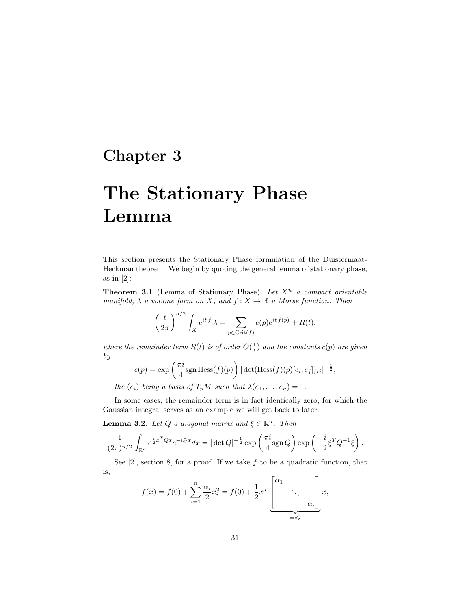# Chapter 3

# The Stationary Phase Lemma

This section presents the Stationary Phase formulation of the Duistermaat-Heckman theorem. We begin by quoting the general lemma of stationary phase, as in  $[2]$ :

**Theorem 3.1** (Lemma of Stationary Phase). Let  $X^n$  a compact orientable manifold,  $\lambda$  a volume form on X, and  $f: X \to \mathbb{R}$  a Morse function. Then

$$
\left(\frac{t}{2\pi}\right)^{n/2} \int_X e^{it\,f} \,\lambda = \sum_{p \in \text{Crit}(f)} c(p) e^{it\,f(p)} + R(t),
$$

where the remainder term  $R(t)$  is of order  $O(\frac{1}{t})$  and the constants  $c(p)$  are given by

$$
c(p) = \exp\left(\frac{\pi i}{4}\text{sgn Hess}(f)(p)\right) |\det(\text{Hess}(f)(p)[e_i, e_j])_{ij}|^{-\frac{1}{2}},
$$

the  $(e_i)$  being a basis of  $T_pM$  such that  $\lambda(e_1, \ldots, e_n) = 1$ .

In some cases, the remainder term is in fact identically zero, for which the Gaussian integral serves as an example we will get back to later:

**Lemma 3.2.** Let Q a diagonal matrix and  $\xi \in \mathbb{R}^n$ . Then

$$
\frac{1}{(2\pi)^{n/2}} \int_{\mathbb{R}^n} e^{\frac{i}{2}x^TQx} e^{-i\xi \cdot x} dx = |\det Q|^{-\frac{1}{2}} \exp\left(\frac{\pi i}{4} \text{sgn } Q\right) \exp\left(-\frac{i}{2} \xi^T Q^{-1} \xi\right).
$$

See  $[2]$ , section 8, for a proof. If we take f to be a quadratic function, that is,  $\mathbf{r}$  $\overline{\mathbf{u}}$ 

$$
f(x) = f(0) + \sum_{i=1}^{n} \frac{\alpha_i}{2} x_i^2 = f(0) + \frac{1}{2} x^T \underbrace{\begin{bmatrix} \alpha_1 & & \\ & \ddots & \\ & & \alpha_r \end{bmatrix}}_{=:Q} x,
$$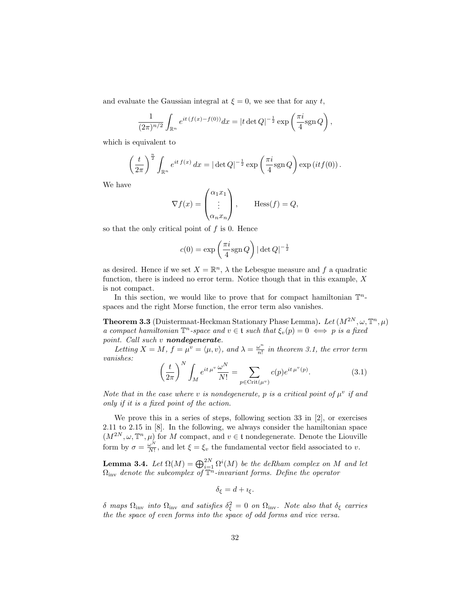and evaluate the Gaussian integral at  $\xi = 0$ , we see that for any t,

$$
\frac{1}{(2\pi)^{n/2}} \int_{\mathbb{R}^n} e^{it (f(x) - f(0))} dx = |t \det Q|^{-\frac{1}{2}} \exp \left( \frac{\pi i}{4} \text{sgn } Q \right),
$$

which is equivalent to

$$
\left(\frac{t}{2\pi}\right)^{\frac{n}{2}} \int_{\mathbb{R}^n} e^{it\,f(x)}\,dx = |\det Q|^{-\frac{1}{2}} \exp\left(\frac{\pi i}{4} \text{sgn}\,Q\right) \exp\left(itf(0)\right).
$$

We have

$$
\nabla f(x) = \begin{pmatrix} \alpha_1 x_1 \\ \vdots \\ \alpha_n x_n \end{pmatrix}, \qquad \text{Hess}(f) = Q,
$$

so that the only critical point of  $f$  is 0. Hence

$$
c(0) = \exp\left(\frac{\pi i}{4} \text{sgn } Q\right) |\det Q|^{-\frac{1}{2}}
$$

as desired. Hence if we set  $X = \mathbb{R}^n$ ,  $\lambda$  the Lebesgue measure and f a quadratic function, there is indeed no error term. Notice though that in this example,  $X$ is not compact.

In this section, we would like to prove that for compact hamiltonian  $\mathbb{T}^n$ spaces and the right Morse function, the error term also vanishes.

**Theorem 3.3** (Duistermaat-Heckman Stationary Phase Lemma). Let  $(M^{2N}, \omega, \mathbb{T}^n, \mu)$ a compact hamiltonian  $\mathbb{T}^n$ -space and  $v \in \mathfrak{t}$  such that  $\xi_v(p) = 0 \iff p$  is a fixed point. Call such v nondegenerate.

Letting  $X = M$ ,  $f = \mu^v = \langle \mu, v \rangle$ , and  $\lambda = \frac{\omega^n}{n!}$  $\frac{\omega^n}{n!}$  in theorem 3.1, the error term vanishes:

$$
\left(\frac{t}{2\pi}\right)^N \int_M e^{it\,\mu^v} \frac{\omega^N}{N!} = \sum_{p \in \text{Crit}(\mu^v)} c(p) e^{it\,\mu^v(p)}.
$$
\n(3.1)

Note that in the case where v is nondegenerate, p is a critical point of  $\mu^v$  if and only if it is a fixed point of the action.

We prove this in a series of steps, following section 33 in [2], or exercises 2.11 to 2.15 in [8]. In the following, we always consider the hamiltonian space  $(M^{2N}, \omega, \mathbb{T}^n, \mu)$  for M compact, and  $v \in \mathfrak{t}$  nondegenerate. Denote the Liouville form by  $\sigma = \frac{\omega^N}{N!}$  $\frac{\omega^{N}}{N!}$ , and let  $\xi = \xi_{v}$  the fundamental vector field associated to v.

**Lemma 3.4.** Let  $\Omega(M) = \bigoplus_{i=1}^{2N} \Omega^i(M)$  be the deRham complex on M and let  $\Omega_{\text{inv}}$  denote the subcomplex of  $\overline{\mathbb{T}}^n$ -invariant forms. Define the operator

$$
\delta_{\xi} = d + \iota_{\xi}.
$$

 $\delta$  maps  $\Omega_{\rm inv}$  into  $\Omega_{\rm inv}$  and satisfies  $\delta_\xi^2 = 0$  on  $\Omega_{\rm inv}$ . Note also that  $\delta_\xi$  carries the the space of even forms into the space of odd forms and vice versa.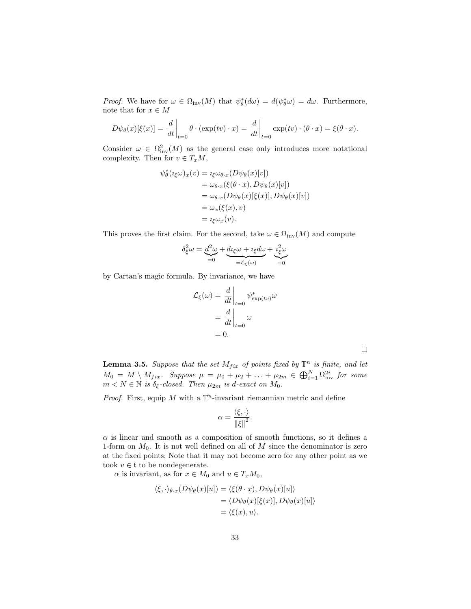*Proof.* We have for  $\omega \in \Omega_{\text{inv}}(M)$  that  $\psi_{\theta}^*(d\omega) = d(\psi_{\theta}^*\omega) = d\omega$ . Furthermore, note that for  $x\in M$ 

$$
D\psi_{\theta}(x)[\xi(x)] = \frac{d}{dt}\bigg|_{t=0} \theta \cdot (\exp(tv) \cdot x) = \frac{d}{dt}\bigg|_{t=0} \exp(tv) \cdot (\theta \cdot x) = \xi(\theta \cdot x).
$$

Consider  $\omega \in \Omega^2_{\text{inv}}(M)$  as the general case only introduces more notational complexity. Then for  $v \in T_xM$ ,

$$
\psi_{\theta}^{*}(\imath_{\xi}\omega)_{x}(v) = \imath_{\xi}\omega_{\theta \cdot x}(D\psi_{\theta}(x)[v])
$$
  
\n
$$
= \omega_{\theta \cdot x}(\xi(\theta \cdot x), D\psi_{\theta}(x)[v])
$$
  
\n
$$
= \omega_{\theta \cdot x}(D\psi_{\theta}(x)[\xi(x)], D\psi_{\theta}(x)[v])
$$
  
\n
$$
= \omega_{x}(\xi(x), v)
$$
  
\n
$$
= \imath_{\xi}\omega_{x}(v).
$$

This proves the first claim. For the second, take  $\omega \in \Omega_{\text{inv}}(M)$  and compute

$$
\delta_{\xi}^{2}\omega = \underbrace{d^{2}\omega}_{=0} + \underbrace{d\iota_{\xi}\omega + \iota_{\xi}d\omega}_{= \mathcal{L}_{\xi}(\omega)} + \underbrace{\iota_{\xi}^{2}\omega}_{=0}
$$

by Cartan's magic formula. By invariance, we have

$$
\mathcal{L}_{\xi}(\omega) = \frac{d}{dt}\Big|_{t=0} \psi_{\exp(tv)}^* \omega
$$

$$
= \frac{d}{dt}\Big|_{t=0} \omega
$$

$$
= 0.
$$

 $\Box$ 

**Lemma 3.5.** Suppose that the set  $M_{fix}$  of points fixed by  $\mathbb{T}^n$  is finite, and let  $M_0 = M \setminus M_{fix}$ . Suppose  $\mu = \mu_0 + \mu_2 + \ldots + \mu_{2m} \in \bigoplus_{i=1}^N \Omega_{inv}^{2i}$  for some  $m < N \in \mathbb{N}$  is  $\delta_{\xi}$ -closed. Then  $\mu_{2m}$  is d-exact on  $M_0$ .

*Proof.* First, equip M with a  $\mathbb{T}^n$ -invariant riemannian metric and define

$$
\alpha = \frac{\langle \xi, \cdot \rangle}{\|\xi\|^2}.
$$

 $\alpha$  is linear and smooth as a composition of smooth functions, so it defines a 1-form on  $M_0$ . It is not well defined on all of M since the denominator is zero at the fixed points; Note that it may not become zero for any other point as we took  $v \in \mathfrak{t}$  to be nondegenerate.

 $\alpha$  is invariant, as for  $x \in M_0$  and  $u \in T_xM_0$ ,

$$
\langle \xi, \cdot \rangle_{\theta \cdot x} (D \psi_{\theta}(x)[u]) = \langle \xi(\theta \cdot x), D \psi_{\theta}(x)[u] \rangle \n= \langle D \psi_{\theta}(x)[\xi(x)], D \psi_{\theta}(x)[u] \rangle \n= \langle \xi(x), u \rangle.
$$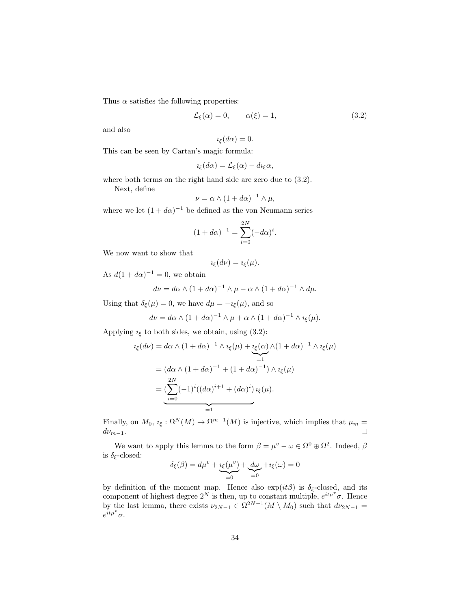Thus  $\alpha$  satisfies the following properties:

$$
\mathcal{L}_{\xi}(\alpha) = 0, \qquad \alpha(\xi) = 1, \tag{3.2}
$$

and also

$$
i_{\xi}(d\alpha)=0.
$$

This can be seen by Cartan's magic formula:

$$
i_{\xi}(d\alpha) = \mathcal{L}_{\xi}(\alpha) - d i_{\xi}\alpha,
$$

where both terms on the right hand side are zero due to (3.2).

Next, define

$$
\nu = \alpha \wedge (1 + d\alpha)^{-1} \wedge \mu,
$$

where we let  $(1 + d\alpha)^{-1}$  be defined as the von Neumann series

$$
(1 + d\alpha)^{-1} = \sum_{i=0}^{2N} (-d\alpha)^i.
$$

We now want to show that

$$
i_{\xi}(d\nu)=i_{\xi}(\mu).
$$

As  $d(1 + d\alpha)^{-1} = 0$ , we obtain

$$
d\nu = d\alpha \wedge (1 + d\alpha)^{-1} \wedge \mu - \alpha \wedge (1 + d\alpha)^{-1} \wedge d\mu.
$$

Using that  $\delta_{\xi}(\mu) = 0$ , we have  $d\mu = -i_{\xi}(\mu)$ , and so

$$
d\nu = d\alpha \wedge (1 + d\alpha)^{-1} \wedge \mu + \alpha \wedge (1 + d\alpha)^{-1} \wedge \iota_{\xi}(\mu).
$$

Applying  $\iota_{\xi}$  to both sides, we obtain, using (3.2):

$$
i_{\xi}(d\nu) = d\alpha \wedge (1 + d\alpha)^{-1} \wedge i_{\xi}(\mu) + \underbrace{i_{\xi}(\alpha)}_{=1} \wedge (1 + d\alpha)^{-1} \wedge i_{\xi}(\mu)
$$
  
= 
$$
(d\alpha \wedge (1 + d\alpha)^{-1} + (1 + d\alpha)^{-1}) \wedge i_{\xi}(\mu)
$$
  
= 
$$
(\sum_{i=0}^{2N} (-1)^{i} ((d\alpha)^{i+1} + (d\alpha)^{i}) i_{\xi}(\mu).
$$

Finally, on  $M_0$ ,  $\iota_{\xi}: \Omega^N(M) \to \Omega^{m-1}(M)$  is injective, which implies that  $\mu_m =$  $d\nu_{m-1}$ .  $\Box$ 

We want to apply this lemma to the form  $\beta = \mu^v - \omega \in \Omega^0 \oplus \Omega^2$ . Indeed,  $\beta$ is  $\delta_{\xi}$ -closed:

$$
\delta_{\xi}(\beta) = d\mu^{v} + \underbrace{i_{\xi}(\mu^{v})}_{=0} + \underbrace{d\omega}_{=0} + i_{\xi}(\omega) = 0
$$

by definition of the moment map. Hence also  $\exp(it\beta)$  is  $\delta_{\xi}$ -closed, and its component of highest degree  $2^N$  is then, up to constant multiple,  $e^{it\mu^v}\sigma$ . Hence by the last lemma, there exists  $\nu_{2N-1} \in \Omega^{2N-1}(M \setminus M_0)$  such that  $d\nu_{2N-1} =$  $e^{\check{i}t\mu^v}\sigma.$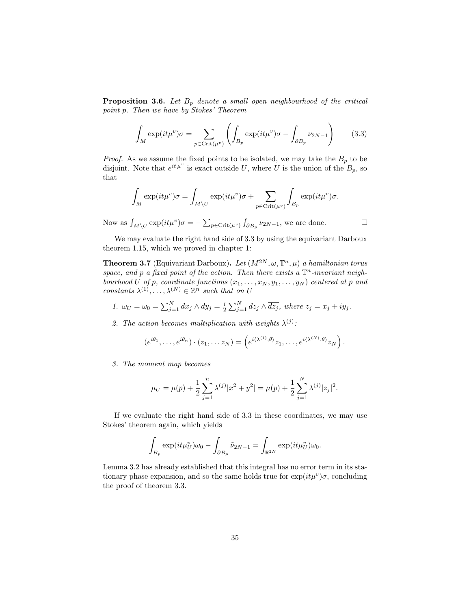**Proposition 3.6.** Let  $B_p$  denote a small open neighbourhood of the critical point p. Then we have by Stokes' Theorem

$$
\int_{M} \exp(it\mu^{v})\sigma = \sum_{p \in \text{Crit}(\mu^{v})} \left( \int_{B_{p}} \exp(it\mu^{v})\sigma - \int_{\partial B_{p}} \nu_{2N-1} \right) \tag{3.3}
$$

*Proof.* As we assume the fixed points to be isolated, we may take the  $B_p$  to be disjoint. Note that  $e^{it\mu^v}$  is exact outside U, where U is the union of the  $B_p$ , so that

$$
\int_M \exp(it\mu^v)\sigma = \int_{M\setminus U} \exp(it\mu^v)\sigma + \sum_{p \in \text{Crit}(\mu^v)} \int_{B_p} \exp(it\mu^v)\sigma.
$$

Now as  $\int_{M\setminus U} \exp(it\mu^v)\sigma = -\sum_{p\in\text{Crit}(\mu^v)} \int_{\partial B_p} \nu_{2N-1}$ , we are done.

 $\Box$ 

We may evaluate the right hand side of 3.3 by using the equivariant Darboux theorem 1.15, which we proved in chapter 1:

**Theorem 3.7** (Equivariant Darboux). Let  $(M^{2N}, \omega, \mathbb{T}^n, \mu)$  a hamiltonian torus space, and p a fixed point of the action. Then there exists a  $\mathbb{T}^n$ -invariant neighbourhood U of p, coordinate functions  $(x_1, \ldots, x_N, y_1, \ldots, y_N)$  centered at p and constants  $\lambda^{(1)}, \ldots, \lambda^{(N)} \in \mathbb{Z}^n$  such that on U

- 1.  $\omega_U = \omega_0 = \sum_{j=1}^N dx_j \wedge dy_j = \frac{i}{2} \sum_{j=1}^N dz_j \wedge \overline{dz_j}$ , where  $z_j = x_j + iy_j$ .
- 2. The action becomes multiplication with weights  $\lambda^{(j)}$ :

$$
(e^{i\theta_1},\ldots,e^{i\theta_n})\cdot(z_1,\ldots z_N)=\left(e^{i\langle\lambda^{(1)},\theta\rangle}z_1,\ldots,e^{i\langle\lambda^{(N)},\theta\rangle}z_N\right).
$$

3. The moment map becomes

$$
\mu_U = \mu(p) + \frac{1}{2} \sum_{j=1}^n \lambda^{(j)} |x^2 + y^2| = \mu(p) + \frac{1}{2} \sum_{j=1}^N \lambda^{(j)} |z_j|^2.
$$

If we evaluate the right hand side of 3.3 in these coordinates, we may use Stokes' theorem again, which yields

$$
\int_{B_p} \exp(it\mu_U^v)\omega_0 - \int_{\partial B_p} \tilde{\nu}_{2N-1} = \int_{\mathbb{R}^{2N}} \exp(it\mu_U^v)\omega_0.
$$

Lemma 3.2 has already established that this integral has no error term in its stationary phase expansion, and so the same holds true for  $\exp(it\mu^v)\sigma$ , concluding the proof of theorem 3.3.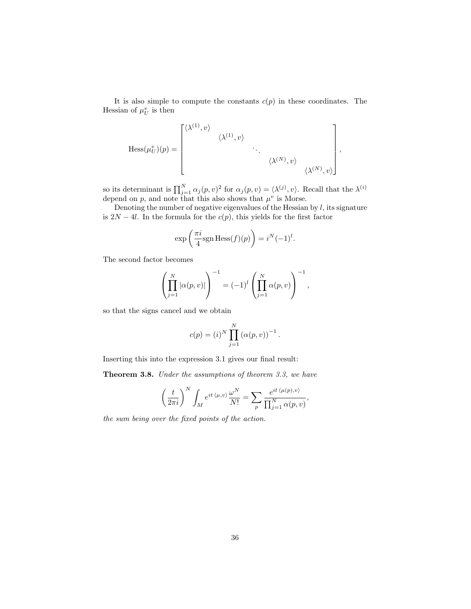It is also simple to compute the constants  $c(p)$  in these coordinates. The Hessian of  $\mu_U^v$  is then

$$
\text{Hess}(\mu_U^v)(p) = \begin{bmatrix} \langle \lambda^{(1)}, v \rangle & & & \\ & \langle \lambda^{(1)}, v \rangle & & \\ & & \ddots & \\ & & & \langle \lambda^{(N)}, v \rangle \\ & & & & \langle \lambda^{(N)}, v \rangle \end{bmatrix},
$$

so its determinant is  $\prod_{j=1}^N \alpha_j(p, v)^2$  for  $\alpha_j(p, v) = \langle \lambda^{(j)}, v \rangle$ . Recall that the  $\lambda^{(i)}$ depend on p, and note that this also shows that  $\mu^v$  is Morse.

Denoting the number of negative eigenvalues of the Hessian by  $l$ , its signature is  $2N - 4l$ . In the formula for the  $c(p)$ , this yields for the first factor

$$
\exp\left(\frac{\pi i}{4}\text{sgn Hess}(f)(p)\right) = i^N(-1)^l.
$$

The second factor becomes

$$
\left(\prod_{j=1}^N |\alpha(p,v)|\right)^{-1} = (-1)^l \left(\prod_{j=1}^N \alpha(p,v)\right)^{-1},
$$

so that the signs cancel and we obtain

$$
c(p) = (i)^N \prod_{j=1}^N (\alpha(p, v))^{-1}.
$$

Inserting this into the expression 3.1 gives our final result:

Theorem 3.8. Under the assumptions of theorem 3.3, we have

$$
\left(\frac{t}{2\pi i}\right)^N\int_M e^{it\,\langle\mu,v\rangle}\frac{\omega^N}{N!}=\sum_p\frac{e^{it\,\langle\mu(p),v\rangle}}{\prod_{j=1}^N\alpha(p,v)},
$$

the sum being over the fixed points of the action.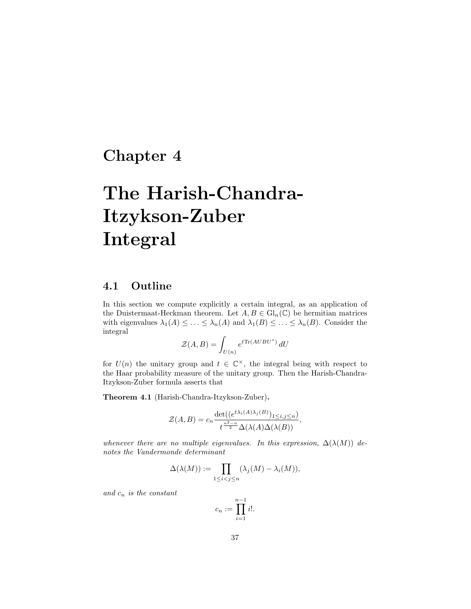# Chapter 4

# The Harish-Chandra-Itzykson-Zuber Integral

### 4.1 Outline

In this section we compute explicitly a certain integral, as an application of the Duistermaat-Heckman theorem. Let  $A, B \in Gl_n(\mathbb{C})$  be hermitian matrices with eigenvalues  $\lambda_1(A) \leq \ldots \leq \lambda_n(A)$  and  $\lambda_1(B) \leq \ldots \leq \lambda_n(B)$ . Consider the integral

$$
\mathcal{Z}(A,B) = \int_{U(n)} e^{t \text{Tr}(A U B U^*)} dU
$$

for  $U(n)$  the unitary group and  $t \in \mathbb{C}^{\times}$ , the integral being with respect to the Haar probability measure of the unitary group. Then the Harish-Chandra-Itzykson-Zuber formula asserts that

Theorem 4.1 (Harish-Chandra-Itzykson-Zuber).

$$
\mathcal{Z}(A,B) = c_n \frac{\det((e^{t\lambda_i(A)\lambda_j(B)})_{1 \le i,j \le n})}{t^{\frac{n^2-n}{2}} \Delta(\lambda(A)\Delta(\lambda(B))},
$$

whenever there are no multiple eigenvalues. In this expression,  $\Delta(\lambda(M))$  denotes the Vandermonde determinant

$$
\Delta(\lambda(M)) := \prod_{1 \leq i < j \leq n} (\lambda_j(M) - \lambda_i(M)),
$$

and  $c_n$  is the constant

$$
c_n := \prod_{i=1}^{n-1} i!
$$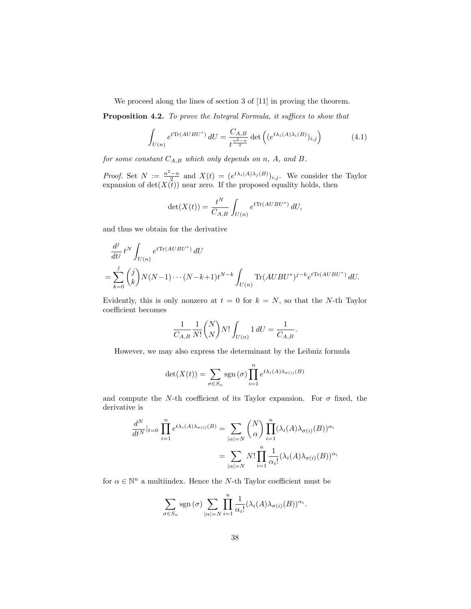We proceed along the lines of section 3 of [11] in proving the theorem.

Proposition 4.2. To prove the Integral Formula, it suffices to show that

$$
\int_{U(n)} e^{t \text{Tr}(AUBU^*)} dU = \frac{C_{A,B}}{t^{\frac{n^2 - n}{2}}} \det \left( (e^{t \lambda_i(A)\lambda_i(B)})_{i,j} \right) \tag{4.1}
$$

for some constant  $C_{A,B}$  which only depends on n, A, and B.

*Proof.* Set  $N := \frac{n^2-n}{2}$  and  $X(t) = (e^{t\lambda_i(A)\lambda_j(B)})_{i,j}$ . We consider the Taylor expansion of  $\det(X(t))$  near zero. If the proposed equality holds, then

$$
\det(X(t)) = \frac{t^N}{C_{A,B}} \int_{U(n)} e^{t \text{Tr}(AUBU^*)} dU,
$$

and thus we obtain for the derivative

$$
\frac{d^j}{dt^j} t^N \int_{U(n)} e^{t \text{Tr}(AUBU^*)} dU
$$
\n
$$
= \sum_{k=0}^j {j \choose k} N(N-1) \cdots (N-k+1) t^{N-k} \int_{U(n)} \text{Tr}(AUBU^*)^{j-k} e^{t \text{Tr}(AUBU^*)} dU.
$$

Evidently, this is only nonzero at  $t = 0$  for  $k = N$ , so that the N-th Taylor coefficient becomes

$$
\frac{1}{C_{A,B}} \frac{1}{N!} {N \choose N} N! \int_{U(n)} 1 dU = \frac{1}{C_{A,B}}.
$$

However, we may also express the determinant by the Leibniz formula

$$
\det(X(t)) = \sum_{\sigma \in S_n} \operatorname{sgn}(\sigma) \prod_{i=1}^n e^{t\lambda_i(A)\lambda_{\sigma(i)}(B)}
$$

and compute the N-th coefficient of its Taylor expansion. For  $\sigma$  fixed, the derivative is

$$
\frac{d^N}{dt^N}|_{t=0} \prod_{i=1}^n e^{t\lambda_i(A)\lambda_{\sigma(i)}(B)} = \sum_{|\alpha|=N} {N \choose \alpha} \prod_{i=1}^n (\lambda_i(A)\lambda_{\sigma(i)}(B))^{\alpha_i}
$$

$$
= \sum_{|\alpha|=N} N! \prod_{i=1}^n \frac{1}{\alpha_i!} (\lambda_i(A)\lambda_{\sigma(i)}(B))^{\alpha_i}
$$

for  $\alpha \in \mathbb{N}^n$  a multiindex. Hence the N-th Taylor coefficient must be

$$
\sum_{\sigma \in S_n} \operatorname{sgn}(\sigma) \sum_{|\alpha|=N} \prod_{i=1}^n \frac{1}{\alpha_i!} (\lambda_i(A)\lambda_{\sigma(i)}(B))^{\alpha_i}.
$$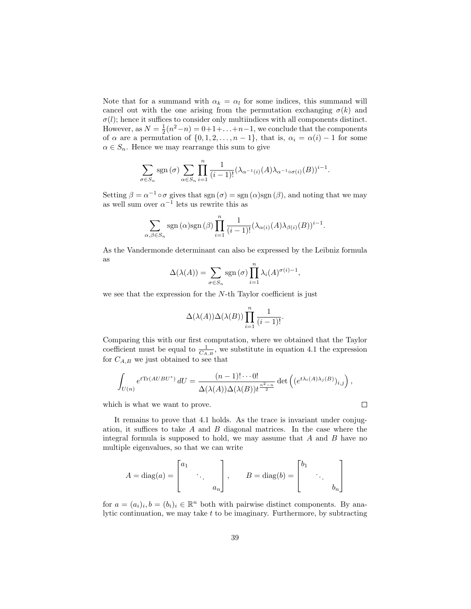Note that for a summand with  $\alpha_k = \alpha_l$  for some indices, this summand will cancel out with the one arising from the permutation exchanging  $\sigma(k)$  and  $\sigma(l)$ ; hence it suffices to consider only multiindices with all components distinct. However, as  $N = \frac{1}{2}(n^2 - n) = 0 + 1 + \ldots + n - 1$ , we conclude that the components of  $\alpha$  are a permutation of  $\{0, 1, 2, \ldots, n-1\}$ , that is,  $\alpha_i = \alpha(i) - 1$  for some  $\alpha \in S_n$ . Hence we may rearrange this sum to give

$$
\sum_{\sigma \in S_n} \operatorname{sgn}(\sigma) \sum_{\alpha \in S_n} \prod_{i=1}^n \frac{1}{(i-1)!} (\lambda_{\alpha^{-1}(i)}(A) \lambda_{\alpha^{-1} \circ \sigma(i)}(B))^{i-1}.
$$

Setting  $\beta = \alpha^{-1} \circ \sigma$  gives that sgn  $(\sigma) = \text{sgn}(\alpha) \text{sgn}(\beta)$ , and noting that we may as well sum over  $\alpha^{-1}$  lets us rewrite this as

$$
\sum_{\alpha,\beta \in S_n} \text{sgn}(\alpha) \text{sgn}(\beta) \prod_{i=1}^n \frac{1}{(i-1)!} (\lambda_{\alpha(i)}(A) \lambda_{\beta(i)}(B))^{i-1}.
$$

As the Vandermonde determinant can also be expressed by the Leibniz formula as

$$
\Delta(\lambda(A)) = \sum_{\sigma \in S_n} \text{sgn}(\sigma) \prod_{i=1}^n \lambda_i(A)^{\sigma(i)-1},
$$

we see that the expression for the  $N$ -th Taylor coefficient is just

$$
\Delta(\lambda(A))\Delta(\lambda(B))\prod_{i=1}^n\frac{1}{(i-1)!}.
$$

Comparing this with our first computation, where we obtained that the Taylor coefficient must be equal to  $\frac{1}{C_{A,B}}$ , we substitute in equation 4.1 the expression for  $C_{A,B}$  we just obtained to see that

$$
\int_{U(n)} e^{t \text{Tr}(AUBU^*)} dU = \frac{(n-1)! \cdots 0!}{\Delta(\lambda(A)) \Delta(\lambda(B)) t^{\frac{n^2-n}{2}}} \det \left( (e^{t \lambda_i(A)\lambda_j(B)})_{i,j} \right),
$$

 $\Box$ 

which is what we want to prove.

It remains to prove that 4.1 holds. As the trace is invariant under conjugation, it suffices to take  $A$  and  $B$  diagonal matrices. In the case where the integral formula is supposed to hold, we may assume that  $A$  and  $B$  have no multiple eigenvalues, so that we can write

$$
A = \text{diag}(a) = \begin{bmatrix} a_1 & & \\ & \ddots & \\ & & a_n \end{bmatrix}, \qquad B = \text{diag}(b) = \begin{bmatrix} b_1 & & \\ & \ddots & \\ & & b_n \end{bmatrix}
$$

for  $a = (a_i)_i, b = (b_i)_i \in \mathbb{R}^n$  both with pairwise distinct components. By analytic continuation, we may take  $t$  to be imaginary. Furthermore, by subtracting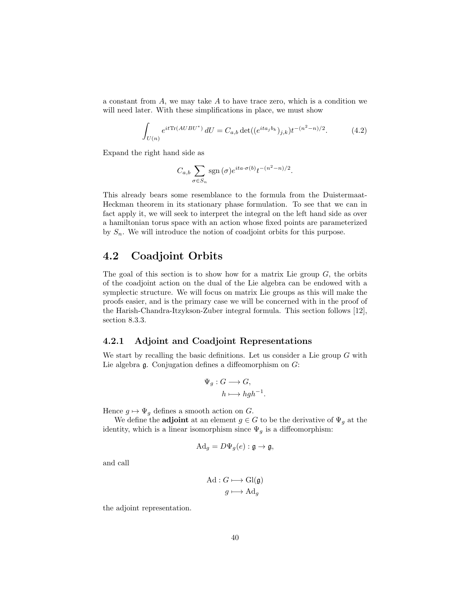a constant from  $A$ , we may take  $A$  to have trace zero, which is a condition we will need later. With these simplifications in place, we must show

$$
\int_{U(n)} e^{it \text{Tr}(AUBU^*)} dU = C_{a,b} \det((e^{ita_j b_k})_{j,k}) t^{-(n^2 - n)/2}.
$$
 (4.2)

Expand the right hand side as

$$
C_{a,b} \sum_{\sigma \in S_n} \text{sgn}(\sigma) e^{ita \cdot \sigma(b)} t^{-(n^2 - n)/2}.
$$

This already bears some resemblance to the formula from the Duistermaat-Heckman theorem in its stationary phase formulation. To see that we can in fact apply it, we will seek to interpret the integral on the left hand side as over a hamiltonian torus space with an action whose fixed points are parameterized by  $S_n$ . We will introduce the notion of coadjoint orbits for this purpose.

### 4.2 Coadjoint Orbits

The goal of this section is to show how for a matrix Lie group  $G$ , the orbits of the coadjoint action on the dual of the Lie algebra can be endowed with a symplectic structure. We will focus on matrix Lie groups as this will make the proofs easier, and is the primary case we will be concerned with in the proof of the Harish-Chandra-Itzykson-Zuber integral formula. This section follows [12], section 8.3.3.

#### 4.2.1 Adjoint and Coadjoint Representations

We start by recalling the basic definitions. Let us consider a Lie group  $G$  with Lie algebra  $\mathfrak g$ . Conjugation defines a diffeomorphism on  $G$ :

$$
\Psi_g: G \longrightarrow G,
$$
  

$$
h \longmapsto hgh^{-1}.
$$

Hence  $g \mapsto \Psi_g$  defines a smooth action on G.

We define the **adjoint** at an element  $g \in G$  to be the derivative of  $\Psi_g$  at the identity, which is a linear isomorphism since  $\Psi_g$  is a diffeomorphism:

$$
\mathrm{Ad}_g = D\Psi_g(e) : \mathfrak{g} \to \mathfrak{g},
$$

and call

$$
\operatorname{Ad}: G \longmapsto \operatorname{Gl}(\mathfrak{g})
$$

$$
g \longmapsto \operatorname{Ad}_g
$$

the adjoint representation.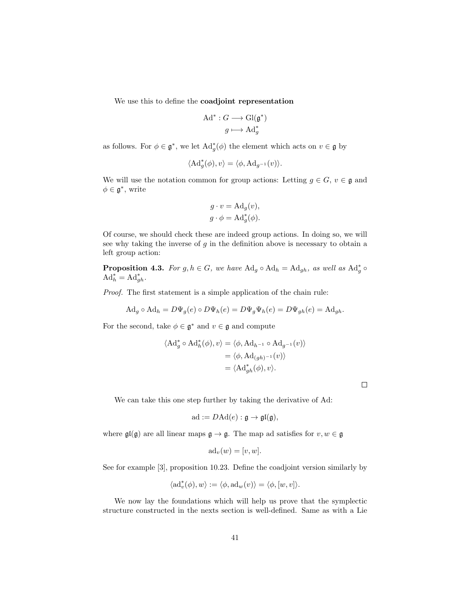We use this to define the coadjoint representation

$$
\mathrm{Ad}^* : G \longrightarrow \mathrm{Gl}(\mathfrak{g}^*)
$$

$$
g \longmapsto \mathrm{Ad}^*_g
$$

as follows. For  $\phi \in \mathfrak{g}^*$ , we let  $\mathrm{Ad}^*_g(\phi)$  the element which acts on  $v \in \mathfrak{g}$  by

$$
\langle \mathrm{Ad}^*_g(\phi), v \rangle = \langle \phi, \mathrm{Ad}_{g^{-1}}(v) \rangle.
$$

We will use the notation common for group actions: Letting  $g \in G$ ,  $v \in \mathfrak{g}$  and  $\phi \in \mathfrak{g}^*,$  write

$$
g \cdot v = \mathrm{Ad}_g(v),
$$
  

$$
g \cdot \phi = \mathrm{Ad}_g^*(\phi).
$$

Of course, we should check these are indeed group actions. In doing so, we will see why taking the inverse of  $g$  in the definition above is necessary to obtain a left group action:

**Proposition 4.3.** For  $g, h \in G$ , we have  $\text{Ad}_g \circ \text{Ad}_h = \text{Ad}_{gh}$ , as well as  $\text{Ad}_g^* \circ$  $\mathrm{Ad}^*_h = \mathrm{Ad}^*_{gh}.$ 

Proof. The first statement is a simple application of the chain rule:

$$
Ad_g \circ Ad_h = D\Psi_g(e) \circ D\Psi_h(e) = D\Psi_g\Psi_h(e) = D\Psi_{gh}(e) = Ad_{gh}.
$$

For the second, take  $\phi \in \mathfrak{g}^*$  and  $v \in \mathfrak{g}$  and compute

$$
\langle \mathrm{Ad}_{g}^{*} \circ \mathrm{Ad}_{h}^{*}(\phi), v \rangle = \langle \phi, \mathrm{Ad}_{h^{-1}} \circ \mathrm{Ad}_{g^{-1}}(v) \rangle
$$
  

$$
= \langle \phi, \mathrm{Ad}_{(gh)^{-1}}(v) \rangle
$$
  

$$
= \langle \mathrm{Ad}_{gh}^{*}(\phi), v \rangle.
$$

 $\Box$ 

We can take this one step further by taking the derivative of Ad:

$$
ad := DAd(e) : \mathfrak{g} \to \mathfrak{gl}(\mathfrak{g}),
$$

where  $\mathfrak{gl}(\mathfrak{g})$  are all linear maps  $\mathfrak{g} \to \mathfrak{g}$ . The map ad satisfies for  $v, w \in \mathfrak{g}$ 

$$
ad_v(w) = [v, w].
$$

See for example [3], proposition 10.23. Define the coadjoint version similarly by

$$
\langle \mathrm{ad}^*_v(\phi),w\rangle:=\langle \phi,\mathrm{ad}_w(v)\rangle=\langle \phi,[w,v]\rangle.
$$

We now lay the foundations which will help us prove that the symplectic structure constructed in the nexts section is well-defined. Same as with a Lie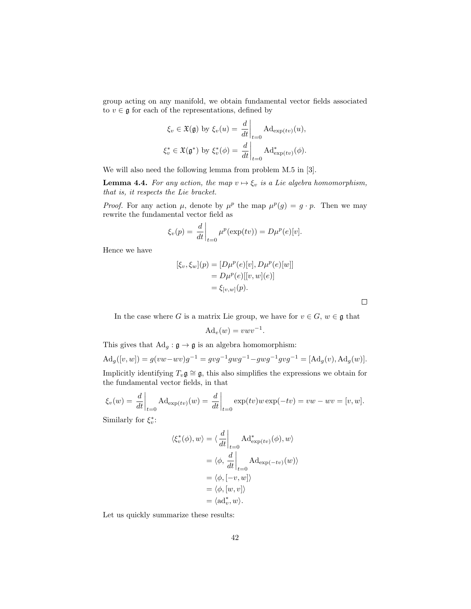group acting on any manifold, we obtain fundamental vector fields associated to  $v \in \mathfrak{g}$  for each of the representations, defined by

$$
\xi_v \in \mathfrak{X}(\mathfrak{g}) \text{ by } \xi_v(u) = \left. \frac{d}{dt} \right|_{t=0} \text{Ad}_{\exp(tv)}(u),
$$
  

$$
\xi_v^* \in \mathfrak{X}(\mathfrak{g}^*) \text{ by } \xi_v^*(\phi) = \left. \frac{d}{dt} \right|_{t=0} \text{Ad}_{\exp(tv)}^*(\phi).
$$

We will also need the following lemma from problem M.5 in [3].

**Lemma 4.4.** For any action, the map  $v \mapsto \xi_v$  is a Lie algebra homomorphism, that is, it respects the Lie bracket.

*Proof.* For any action  $\mu$ , denote by  $\mu^p$  the map  $\mu^p(g) = g \cdot p$ . Then we may rewrite the fundamental vector field as

$$
\xi_v(p) = \frac{d}{dt}\bigg|_{t=0} \mu^p(\exp(tv)) = D\mu^p(e)[v].
$$

Hence we have

$$
[\xi_v, \xi_w](p) = [D\mu^p(e)[v], D\mu^p(e)[w]]
$$
  
=  $D\mu^p(e)[[v, w](e)]$   
=  $\xi_{[v, w]}(p)$ .

 $\Box$ 

In the case where G is a matrix Lie group, we have for  $v\in G,$   $w\in \mathfrak{g}$  that

$$
Ad_v(w) = v w v^{-1}.
$$

This gives that  $\text{Ad}_g : \mathfrak{g} \to \mathfrak{g}$  is an algebra homomorphism:

$$
Ad_g([v, w]) = g(vw - wv)g^{-1} = gvg^{-1}gwg^{-1} - gwg^{-1}gvg^{-1} = [Ad_g(v), Ad_g(w)].
$$

Implicitly identifying  $T_v\mathfrak{g} \cong \mathfrak{g}$ , this also simplifies the expressions we obtain for the fundamental vector fields, in that

 $\sim$ 

$$
\xi_v(w) = \frac{d}{dt}\Big|_{t=0} \text{Ad}_{\exp(tv)}(w) = \frac{d}{dt}\Big|_{t=0} \exp(tv)w \exp(-tv) = vw - wv = [v, w].
$$

Similarly for  $\xi_v^*$ :

$$
\langle \xi_v^*(\phi), w \rangle = \langle \frac{d}{dt} \Big|_{t=0} \operatorname{Ad}^*_{\exp(tv)}(\phi), w \rangle
$$
  
\n
$$
= \langle \phi, \frac{d}{dt} \Big|_{t=0} \operatorname{Ad}_{\exp(-tv)}(w) \rangle
$$
  
\n
$$
= \langle \phi, [-v, w] \rangle
$$
  
\n
$$
= \langle \phi, [w, v] \rangle
$$
  
\n
$$
= \langle \mathrm{ad}_v^*, w \rangle.
$$

Let us quickly summarize these results: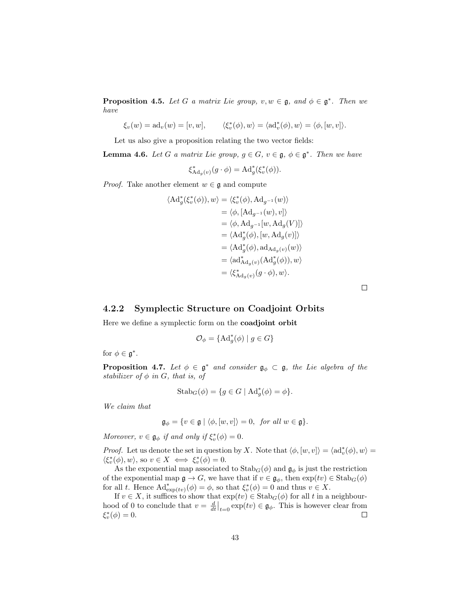**Proposition 4.5.** Let G a matrix Lie group,  $v, w \in \mathfrak{g}$ , and  $\phi \in \mathfrak{g}^*$ . Then we have

 $\xi_v(w) = \mathrm{ad}_v(w) = [v, w],$  $\langle v^*(\phi), w \rangle = \langle \mathrm{ad}_v^*(\phi), w \rangle = \langle \phi, [w, v] \rangle.$ 

Let us also give a proposition relating the two vector fields:

**Lemma 4.6.** Let G a matrix Lie group,  $g \in G$ ,  $v \in \mathfrak{g}$ ,  $\phi \in \mathfrak{g}^*$ . Then we have

$$
\xi_{\mathrm{Ad}_g(v)}^*(g \cdot \phi) = \mathrm{Ad}_g^*(\xi_v^*(\phi)).
$$

*Proof.* Take another element  $w \in \mathfrak{g}$  and compute

$$
\langle \mathrm{Ad}_{g}^{*}(\xi_{v}^{*}(\phi)), w \rangle = \langle \xi_{v}^{*}(\phi), \mathrm{Ad}_{g^{-1}}(w) \rangle
$$
  
\n
$$
= \langle \phi, [\mathrm{Ad}_{g^{-1}}(w), v] \rangle
$$
  
\n
$$
= \langle \phi, \mathrm{Ad}_{g^{-1}}[w, \mathrm{Ad}_{g}(V)] \rangle
$$
  
\n
$$
= \langle \mathrm{Ad}_{g}^{*}(\phi), [w, \mathrm{Ad}_{g}(v)] \rangle
$$
  
\n
$$
= \langle \mathrm{Ad}_{g}^{*}(\phi), \mathrm{ad}_{\mathrm{Ad}_{g}(v)}(w) \rangle
$$
  
\n
$$
= \langle \mathrm{ad}_{\mathrm{Ad}_{g}(v)}^{*}(\mathrm{Ad}_{g}^{*}(\phi)), w \rangle
$$
  
\n
$$
= \langle \xi_{\mathrm{Ad}_{g}(v)}^{*}(g \cdot \phi), w \rangle.
$$

 $\Box$ 

#### 4.2.2 Symplectic Structure on Coadjoint Orbits

Here we define a symplectic form on the coadjoint orbit

$$
\mathcal{O}_{\phi} = \{ \mathrm{Ad}_{g}^{*}(\phi) \mid g \in G \}
$$

for  $\phi \in \mathfrak{g}^*$ .

**Proposition 4.7.** Let  $\phi \in \mathfrak{g}^*$  and consider  $\mathfrak{g}_{\phi} \subset \mathfrak{g}$ , the Lie algebra of the stabilizer of  $\phi$  in G, that is, of

$$
Stab_G(\phi) = \{ g \in G \mid \mathrm{Ad}_g^*(\phi) = \phi \}.
$$

We claim that

$$
\mathfrak{g}_{\phi} = \{ v \in \mathfrak{g} \mid \langle \phi, [w, v] \rangle = 0, \text{ for all } w \in \mathfrak{g} \}.
$$

Moreover,  $v \in \mathfrak{g}_{\phi}$  if and only if  $\xi_v^*(\phi) = 0$ .

*Proof.* Let us denote the set in question by X. Note that  $\langle \phi, [w, v] \rangle = \langle \mathrm{ad}_v^*(\phi), w \rangle =$  $\langle \xi_v^*(\phi), w \rangle$ , so  $v \in X \iff \xi_v^*(\phi) = 0$ .

As the exponential map associated to  $\text{Stab}_G(\phi)$  and  $\mathfrak{g}_{\phi}$  is just the restriction of the exponential map  $\mathfrak{g} \to G$ , we have that if  $v \in \mathfrak{g}_{\phi}$ , then  $\exp(tv) \in \text{Stab}_G(\phi)$ for all t. Hence  $\mathrm{Ad}^*_{\exp(tv)}(\phi) = \phi$ , so that  $\xi_v^*(\phi) = 0$  and thus  $v \in X$ .

If  $v \in X$ , it suffices to show that  $\exp(tv) \in \text{Stab}_G(\phi)$  for all t in a neighbourhood of 0 to conclude that  $v = \frac{d}{dt}\big|_{t=0} \exp(tv) \in \mathfrak{g}_{\phi}$ . This is however clear from  $\xi_v^*(\phi) = 0.$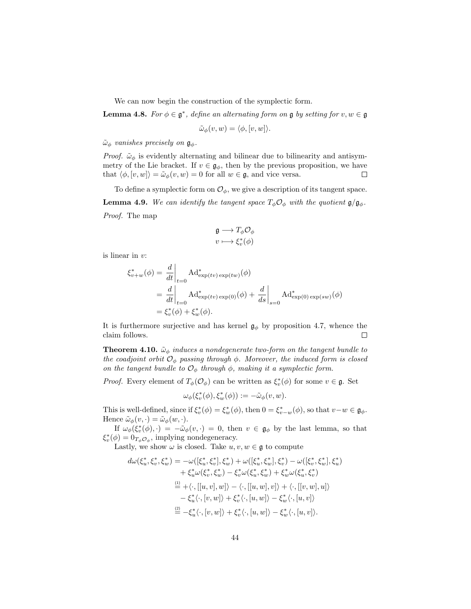We can now begin the construction of the symplectic form.

**Lemma 4.8.** For  $\phi \in \mathfrak{g}^*$ , define an alternating form on  $\mathfrak{g}$  by setting for  $v, w \in \mathfrak{g}$ 

$$
\tilde{\omega}_{\phi}(v, w) = \langle \phi, [v, w] \rangle.
$$

 $\tilde{\omega}_{\phi}$  vanishes precisely on  $\mathfrak{g}_{\phi}$ .

*Proof.*  $\tilde{\omega}_{\phi}$  is evidently alternating and bilinear due to bilinearity and antisymmetry of the Lie bracket. If  $v \in \mathfrak{g}_{\phi}$ , then by the previous proposition, we have that  $\langle \phi, [v, w] \rangle = \tilde{\omega}_{\phi}(v, w) = 0$  for all  $w \in \mathfrak{g}$ , and vice versa.  $\Box$ 

To define a symplectic form on  $\mathcal{O}_{\phi}$ , we give a description of its tangent space. **Lemma 4.9.** We can identify the tangent space  $T_{\phi}O_{\phi}$  with the quotient  $\mathfrak{g}/\mathfrak{g}_{\phi}$ . Proof. The map

$$
\mathfrak{g} \longrightarrow T_{\phi}\mathcal{O}_{\phi}
$$
  

$$
v \longmapsto \xi_v^*(\phi)
$$

is linear in v:

$$
\xi_{v+w}^*(\phi) = \frac{d}{dt}\Big|_{t=0} \operatorname{Ad}^*_{\exp(tv)\exp(tw)}(\phi)
$$
  
= 
$$
\frac{d}{dt}\Big|_{t=0} \operatorname{Ad}^*_{\exp(tv)\exp(0)}(\phi) + \frac{d}{ds}\Big|_{s=0} \operatorname{Ad}^*_{\exp(0)\exp(sw)}(\phi)
$$
  
= 
$$
\xi_v^*(\phi) + \xi_w^*(\phi).
$$

It is furthermore surjective and has kernel  $\mathfrak{g}_{\phi}$  by proposition 4.7, whence the claim follows.  $\Box$ 

**Theorem 4.10.**  $\tilde{\omega}_{\phi}$  induces a nondegenerate two-form on the tangent bundle to the coadjoint orbit  $\mathcal{O}_{\phi}$  passing through  $\phi$ . Moreover, the induced form is closed on the tangent bundle to  $\mathcal{O}_{\phi}$  through  $\phi$ , making it a symplectic form.

*Proof.* Every element of  $T_{\phi}(\mathcal{O}_{\phi})$  can be written as  $\xi_v^*(\phi)$  for some  $v \in \mathfrak{g}$ . Set

$$
\omega_{\phi}(\xi^*_{v}(\phi), \xi^*_{w}(\phi)) := -\tilde{\omega}_{\phi}(v, w).
$$

This is well-defined, since if  $\xi_v^*(\phi) = \xi_w^*(\phi)$ , then  $0 = \xi_{v-w}^*(\phi)$ , so that  $v-w \in \mathfrak{g}_{\phi}$ . Hence  $\tilde{\omega}_{\phi}(v, \cdot) = \tilde{\omega}_{\phi}(w, \cdot).$ 

If  $\omega_{\phi}(\xi_v^*(\phi),\cdot) = -\tilde{\omega}_{\phi}(v,\cdot) = 0$ , then  $v \in \mathfrak{g}_{\phi}$  by the last lemma, so that  $\xi_v^*(\phi) = 0_{T_{\phi}\mathcal{O}_{\phi}},$  implying nondegeneracy.

Lastly, we show  $\omega$  is closed. Take  $u, v, w \in \mathfrak{g}$  to compute

$$
d\omega(\xi_u^*, \xi_v^*, \xi_w^*) = -\omega([\xi_u^*, \xi_v^*], \xi_w^*) + \omega([\xi_u^*, \xi_w^*], \xi_v^*) - \omega([\xi_v^*, \xi_w^*], \xi_u^*) + \xi_u^* \omega(\xi_v^*, \xi_w^*) - \xi_v^* \omega(\xi_u^*, \xi_w^*) + \xi_w^* \omega(\xi_u^*, \xi_v^*) \stackrel{(i)}{=} + \langle \cdot, [[u, v], w] \rangle - \langle \cdot, [[u, w], v] \rangle + \langle \cdot, [[v, w], u] \rangle - \xi_u^* \langle \cdot, [v, w] \rangle + \xi_v^* \langle \cdot, [u, w] \rangle - \xi_w^* \langle \cdot, [u, v] \rangle \stackrel{(2)}{=} -\xi_u^* \langle \cdot, [v, w] \rangle + \xi_v^* \langle \cdot, [u, w] \rangle - \xi_w^* \langle \cdot, [u, v] \rangle.
$$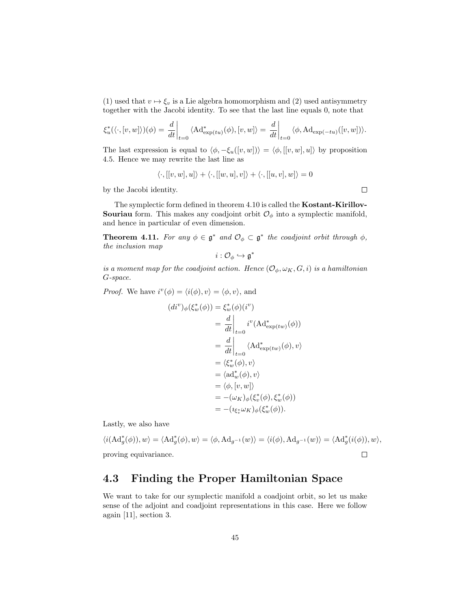(1) used that  $v \mapsto \xi_v$  is a Lie algebra homomorphism and (2) used antisymmetry together with the Jacobi identity. To see that the last line equals 0, note that

$$
\xi_u^*(\langle \cdot, [v, w] \rangle)(\phi) = \left. \frac{d}{dt} \right|_{t=0} \langle \mathrm{Ad}^*_{\exp(tu)}(\phi), [v, w] \rangle = \left. \frac{d}{dt} \right|_{t=0} \langle \phi, \mathrm{Ad}_{\exp(-tu)}([v, w]) \rangle.
$$

The last expression is equal to  $\langle \phi, -\xi_u([v, w]) \rangle = \langle \phi, [[v, w], u] \rangle$  by proposition 4.5. Hence we may rewrite the last line as

$$
\langle \cdot, [[v, w], u] \rangle + \langle \cdot, [[w, u], v] \rangle + \langle \cdot, [[u, v], w] \rangle = 0
$$

by the Jacobi identity.

The symplectic form defined in theorem 4.10 is called the Kostant-Kirillov-**Souriau** form. This makes any coadjoint orbit  $\mathcal{O}_{\phi}$  into a symplectic manifold, and hence in particular of even dimension.

**Theorem 4.11.** For any  $\phi \in \mathfrak{g}^*$  and  $\mathcal{O}_{\phi} \subset \mathfrak{g}^*$  the coadjoint orbit through  $\phi$ , the inclusion map

$$
i:\mathcal{O}_{\phi}\hookrightarrow \mathfrak{g}^*
$$

is a moment map for the coadjoint action. Hence  $(\mathcal{O}_{\phi}, \omega_K, G, i)$  is a hamiltonian G-space.

*Proof.* We have  $i^v(\phi) = \langle i(\phi), v \rangle = \langle \phi, v \rangle$ , and

$$
(di^v)_{\phi}(\xi_w^*(\phi)) = \xi_w^*(\phi)(i^v)
$$
  
=  $\frac{d}{dt}\Big|_{t=0} i^v(\mathrm{Ad}^*_{\exp(tw)}(\phi))$   
=  $\frac{d}{dt}\Big|_{t=0} \langle \mathrm{Ad}^*_{\exp(tw)}(\phi), v \rangle$   
=  $\langle \xi_w^*(\phi), v \rangle$   
=  $\langle \mathrm{ad}_w^*(\phi), v \rangle$   
=  $\langle \phi, [v, w] \rangle$   
=  $-(\omega_K)_{\phi}(\xi_v^*(\phi), \xi_w^*(\phi))$   
=  $-(\iota_{\xi_v^*}\omega_K)_{\phi}(\xi_w^*(\phi)).$ 

Lastly, we also have

$$
\langle i(\mathrm{Ad}^*_g(\phi)), w \rangle = \langle \mathrm{Ad}^*_g(\phi), w \rangle = \langle \phi, \mathrm{Ad}_{g^{-1}}(w) \rangle = \langle i(\phi), \mathrm{Ad}_{g^{-1}}(w) \rangle = \langle \mathrm{Ad}^*_g(i(\phi)), w \rangle,
$$
proving equivalence.

## 4.3 Finding the Proper Hamiltonian Space

We want to take for our symplectic manifold a coadjoint orbit, so let us make sense of the adjoint and coadjoint representations in this case. Here we follow again [11], section 3.

 $\Box$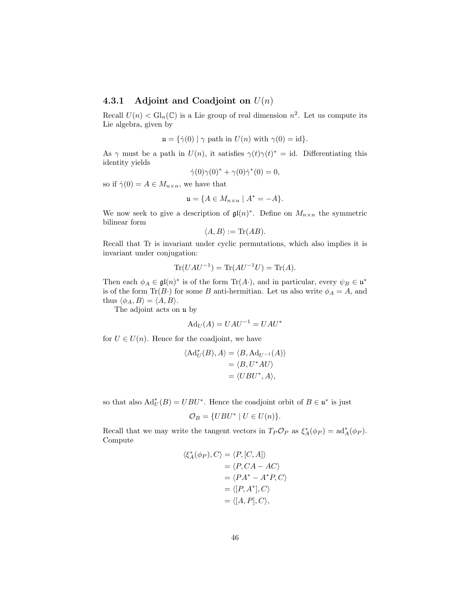#### 4.3.1 Adjoint and Coadjoint on  $U(n)$

Recall  $U(n) < Gl_n(\mathbb{C})$  is a Lie group of real dimension  $n^2$ . Let us compute its Lie algebra, given by

$$
\mathfrak{u} = {\dot{\gamma}(0) | \gamma \text{ path in } U(n) \text{ with } \gamma(0) = \text{id}}.
$$

As  $\gamma$  must be a path in  $U(n)$ , it satisfies  $\gamma(t)\gamma(t)^* = id$ . Differentiating this identity yields

$$
\dot{\gamma}(0)\gamma(0)^* + \gamma(0)\dot{\gamma}^*(0) = 0,
$$

so if  $\dot{\gamma}(0) = A \in M_{n \times n}$ , we have that

$$
\mathfrak{u} = \{ A \in M_{n \times n} \mid A^* = -A \}.
$$

We now seek to give a description of  $\mathfrak{gl}(n)^*$ . Define on  $M_{n \times n}$  the symmetric bilinear form

$$
\langle A, B \rangle := \text{Tr}(AB).
$$

Recall that Tr is invariant under cyclic permutations, which also implies it is invariant under conjugation:

$$
\operatorname{Tr}(UAU^{-1}) = \operatorname{Tr}(AU^{-1}U) = \operatorname{Tr}(A).
$$

Then each  $\phi_A \in \mathfrak{gl}(n)^*$  is of the form  $\text{Tr}(A \cdot)$ , and in particular, every  $\psi_B \in \mathfrak{u}^*$ is of the form  $\text{Tr}(B \cdot)$  for some B anti-hermitian. Let us also write  $\phi_A = A$ , and thus  $\langle \phi_A, B \rangle = \langle A, B \rangle$ .

The adjoint acts on u by

$$
Ad_U(A) = UAU^{-1} = UAU^*
$$

for  $U \in U(n)$ . Hence for the coadjoint, we have

$$
\langle \mathrm{Ad}_{U}^{*}(B), A \rangle = \langle B, \mathrm{Ad}_{U^{-1}}(A) \rangle
$$
  
=  $\langle B, U^{*}AU \rangle$   
=  $\langle UBU^{*}, A \rangle$ ,

so that also  $\text{Ad}^*_{U}(B) = UBU^*$ . Hence the coadjoint orbit of  $B \in \mathfrak{u}^*$  is just

$$
\mathcal{O}_B = \{ UBU^* \mid U \in U(n) \}.
$$

Recall that we may write the tangent vectors in  $T_P \mathcal{O}_P$  as  $\xi_A^*(\phi_P) = \text{ad}_A^*(\phi_P)$ . Compute

$$
\langle \xi_A^*(\phi_P), C \rangle = \langle P, [C, A] \rangle
$$
  
=  $\langle P, CA - AC \rangle$   
=  $\langle PA^* - A^*P, C \rangle$   
=  $\langle [P, A^*], C \rangle$   
=  $\langle [A, P], C \rangle$ ,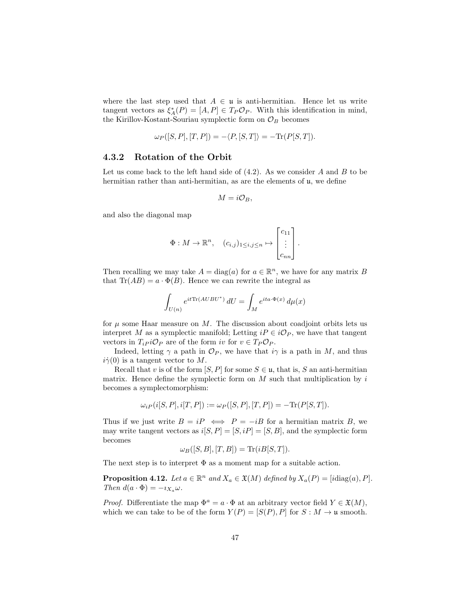where the last step used that  $A \in \mathfrak{u}$  is anti-hermitian. Hence let us write tangent vectors as  $\xi_A^*(P) = [A, P] \in T_P \mathcal{O}_P$ . With this identification in mind, the Kirillov-Kostant-Souriau symplectic form on  $\mathcal{O}_B$  becomes

$$
\omega_P([S, P], [T, P]) = -\langle P, [S, T] \rangle = -\text{Tr}(P[S, T]).
$$

#### 4.3.2 Rotation of the Orbit

Let us come back to the left hand side of  $(4.2)$ . As we consider A and B to be hermitian rather than anti-hermitian, as are the elements of u, we define

$$
M = i \mathcal{O}_B,
$$

and also the diagonal map

$$
\Phi: M \to \mathbb{R}^n, \quad (c_{i,j})_{1 \leq i,j \leq n} \mapsto \begin{bmatrix} c_{11} \\ \vdots \\ c_{nn} \end{bmatrix}.
$$

Then recalling we may take  $A = \text{diag}(a)$  for  $a \in \mathbb{R}^n$ , we have for any matrix B that  $\text{Tr}(AB) = a \cdot \Phi(B)$ . Hence we can rewrite the integral as

$$
\int_{U(n)} e^{it \text{Tr}(AUBU^*)} dU = \int_M e^{ita \cdot \Phi(x)} d\mu(x)
$$

for  $\mu$  some Haar measure on M. The discussion about coadjoint orbits lets us interpret M as a symplectic manifold; Letting  $iP \in i\mathcal{O}_P$ , we have that tangent vectors in  $T_i P^i \mathcal{O}_P$  are of the form iv for  $v \in T_P \mathcal{O}_P$ .

Indeed, letting  $\gamma$  a path in  $\mathcal{O}_P$ , we have that  $i\gamma$  is a path in M, and thus  $i\dot{\gamma}(0)$  is a tangent vector to M.

Recall that v is of the form  $[S, P]$  for some  $S \in \mathfrak{u}$ , that is, S an anti-hermitian matrix. Hence define the symplectic form on  $M$  such that multiplication by  $i$ becomes a symplectomorphism:

$$
\omega_{iP}(i[S, P], i[T, P]) := \omega_{P}([S, P], [T, P]) = -\text{Tr}(P[S, T]).
$$

Thus if we just write  $B = iP \iff P = -iB$  for a hermitian matrix B, we may write tangent vectors as  $i[S, P] = [S, iP] = [S, B]$ , and the symplectic form becomes

$$
\omega_B([S, B], [T, B]) = \text{Tr}(iB[S, T]).
$$

The next step is to interpret  $\Phi$  as a moment map for a suitable action.

**Proposition 4.12.** Let  $a \in \mathbb{R}^n$  and  $X_a \in \mathfrak{X}(M)$  defined by  $X_a(P) = [i \text{diag}(a), P]$ . Then  $d(a \cdot \Phi) = -i_{X_a} \omega$ .

*Proof.* Differentiate the map  $\Phi^a = a \cdot \Phi$  at an arbitrary vector field  $Y \in \mathfrak{X}(M)$ , which we can take to be of the form  $Y(P) = [S(P), P]$  for  $S : M \to \mathfrak{u}$  smooth.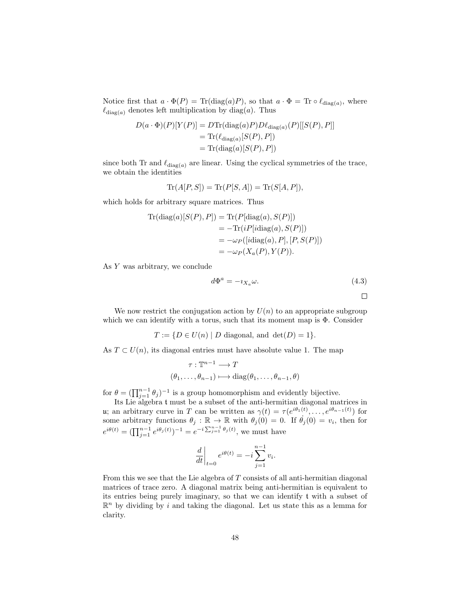Notice first that  $a \cdot \Phi(P) = \text{Tr}(\text{diag}(a)P)$ , so that  $a \cdot \Phi = \text{Tr} \circ \ell_{\text{diag}(a)}$ , where  $\ell_{\text{diag}(a)}$  denotes left multiplication by diag(a). Thus

$$
D(a \cdot \Phi)(P)[Y(P)] = D\text{Tr}(\text{diag}(a)P)D\ell_{\text{diag}(a)}(P)[[S(P), P]]
$$
  
= 
$$
\text{Tr}(\ell_{\text{diag}(a)}[S(P), P])
$$
  
= 
$$
\text{Tr}(\text{diag}(a)[S(P), P])
$$

since both Tr and  $\ell_{\text{diag}(a)}$  are linear. Using the cyclical symmetries of the trace, we obtain the identities

$$
\operatorname{Tr}(A[P,S]) = \operatorname{Tr}(P[S,A]) = \operatorname{Tr}(S[A,P]),
$$

which holds for arbitrary square matrices. Thus

$$
\begin{aligned} \text{Tr}(\text{diag}(a)[S(P), P]) &= \text{Tr}(P[\text{diag}(a), S(P)]) \\ &= -\text{Tr}(iP[\text{idiag}(a), S(P)]) \\ &= -\omega_P([\text{idiag}(a), P], [P, S(P)]) \\ &= -\omega_P(X_a(P), Y(P)). \end{aligned}
$$

As Y was arbitrary, we conclude

$$
d\Phi^a = -\imath_{X_a}\omega. \tag{4.3}
$$

We now restrict the conjugation action by  $U(n)$  to an appropriate subgroup which we can identify with a torus, such that its moment map is  $\Phi$ . Consider

$$
T := \{ D \in U(n) \mid D \text{ diagonal, and } \det(D) = 1 \}.
$$

As  $T \subset U(n)$ , its diagonal entries must have absolute value 1. The map

$$
\tau : \mathbb{T}^{n-1} \longrightarrow T
$$

$$
(\theta_1, \dots, \theta_{n-1}) \longmapsto \text{diag}(\theta_1, \dots, \theta_{n-1}, \theta)
$$

for  $\theta = (\prod_{j=1}^{n-1} \theta_j)^{-1}$  is a group homomorphism and evidently bijective.

Its Lie algebra t must be a subset of the anti-hermitian diagonal matrices in u; an arbitrary curve in T can be written as  $\gamma(t) = \tau(e^{i\theta_1(t)}, \dots, e^{i\theta_{n-1}(t)})$  for some arbitrary functions  $\theta_j : \mathbb{R} \to \mathbb{R}$  with  $\theta_j(0) = 0$ . If  $\theta_j(0) = v_i$ , then for  $e^{i\theta(t)} = (\prod_{j=1}^{n-1} e^{i\theta_j(t)})^{-1} = e^{-i\sum_{j=1}^{n-1} \theta_j(t)},$  we must have

$$
\left. \frac{d}{dt} \right|_{t=0} e^{i\theta(t)} = -i \sum_{j=1}^{n-1} v_i.
$$

From this we see that the Lie algebra of T consists of all anti-hermitian diagonal matrices of trace zero. A diagonal matrix being anti-hermitian is equivalent to its entries being purely imaginary, so that we can identify t with a subset of  $\mathbb{R}^n$  by dividing by i and taking the diagonal. Let us state this as a lemma for clarity.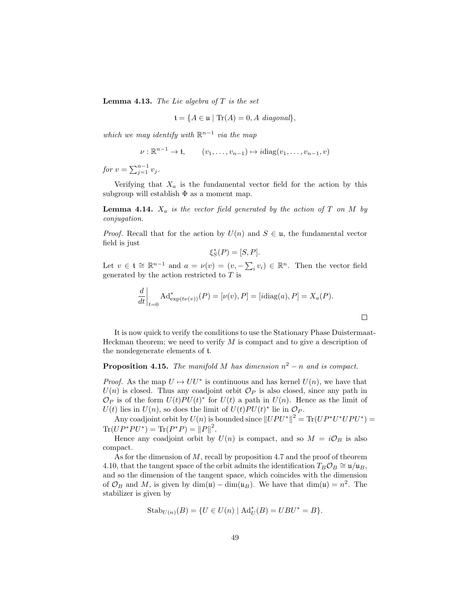**Lemma 4.13.** The Lie algebra of  $T$  is the set

$$
\mathfrak{t} = \{ A \in \mathfrak{u} \mid \text{Tr}(A) = 0, A \text{ diagonal} \},
$$

which we may identify with  $\mathbb{R}^{n-1}$  via the map

$$
\nu : \mathbb{R}^{n-1} \to \mathfrak{t}, \qquad (v_1, \ldots, v_{n-1}) \mapsto i \text{diag}(v_1, \ldots, v_{n-1}, v)
$$

for  $v = \sum_{j=1}^{n-1} v_j$ .

Verifying that  $X_a$  is the fundamental vector field for the action by this subgroup will establish  $\Phi$  as a moment map.

**Lemma 4.14.**  $X_a$  is the vector field generated by the action of T on M by conjugation.

*Proof.* Recall that for the action by  $U(n)$  and  $S \in \mathfrak{u}$ , the fundamental vector field is just

$$
\xi_S^*(P) = [S, P].
$$

Let  $v \in \mathfrak{t} \cong \mathbb{R}^{n-1}$  and  $a = \nu(v) = (v, -\sum_i v_i) \in \mathbb{R}^n$ . Then the vector field generated by the action restricted to  $T$  is

$$
\left. \frac{d}{dt} \right|_{t=0} \text{Ad}^*_{\exp(t\nu(v))}(P) = [\nu(v), P] = [\text{idiag}(a), P] = X_a(P).
$$

 $\Box$ 

It is now quick to verify the conditions to use the Stationary Phase Duistermaat-Heckman theorem; we need to verify  $M$  is compact and to give a description of the nondegenerate elements of t.

#### **Proposition 4.15.** The manifold M has dimension  $n^2 - n$  and is compact.

*Proof.* As the map  $U \mapsto UU^*$  is continuous and has kernel  $U(n)$ , we have that  $U(n)$  is closed. Thus any coadjoint orbit  $\mathcal{O}_P$  is also closed, since any path in  $\mathcal{O}_P$  is of the form  $U(t)P U(t)^*$  for  $U(t)$  a path in  $U(n)$ . Hence as the limit of  $U(t)$  lies in  $U(n)$ , so does the limit of  $U(t)P U(t)^*$  lie in  $\mathcal{O}_P$ .

Any coadjoint orbit by  $U(n)$  is bounded since  $||UPU^*||^2 = \text{Tr}(UP^*U^*UPU^*) =$  $\text{Tr}(UP^*PU^*) = \text{Tr}(P^*P) = ||P||^2.$ 

Hence any coadjoint orbit by  $U(n)$  is compact, and so  $M = i\mathcal{O}_B$  is also compact.

As for the dimension of M, recall by proposition 4.7 and the proof of theorem 4.10, that the tangent space of the orbit admits the identification  $T_B \mathcal{O}_B \cong \mathfrak{u}/\mathfrak{u}_B$ , and so the dimension of the tangent space, which coincides with the dimension of  $\mathcal{O}_B$  and M, is given by dim(u) – dim(u<sub>B</sub>). We have that dim(u) =  $n^2$ . The stabilizer is given by

Stab<sub>U(n)</sub>(B) = {
$$
U \in U(n)
$$
 | Ad<sup>\*</sup><sub>U</sub>(B) = UBU<sup>\*</sup> = B}.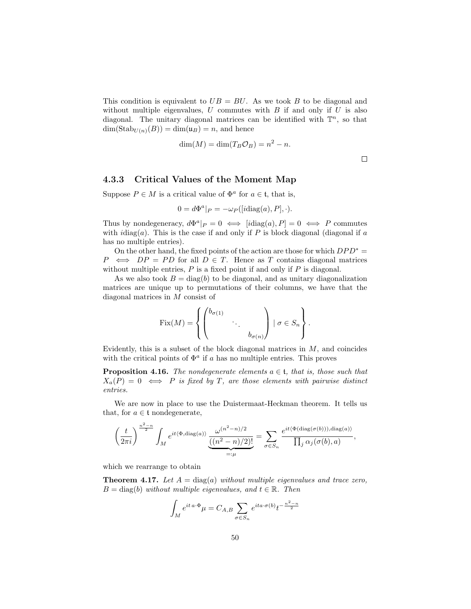This condition is equivalent to  $UB = BU$ . As we took B to be diagonal and without multiple eigenvalues,  $U$  commutes with  $B$  if and only if  $U$  is also diagonal. The unitary diagonal matrices can be identified with  $\mathbb{T}^n$ , so that  $\dim(\text{Stab}_{U(n)}(B)) = \dim(\mathfrak{u}_B) = n$ , and hence

$$
\dim(M) = \dim(T_B \mathcal{O}_B) = n^2 - n.
$$

 $\Box$ 

#### 4.3.3 Critical Values of the Moment Map

Suppose  $P \in M$  is a critical value of  $\Phi^a$  for  $a \in \mathfrak{t}$ , that is,

$$
0 = d\Phi^{a}|_{P} = -\omega_{P}([i \text{diag}(a), P], \cdot).
$$

Thus by nondegeneracy,  $d\Phi^a|_P = 0 \iff [i \text{diag}(a), P] = 0 \iff P$  commutes with  $idiag(a)$ . This is the case if and only if P is block diagonal (diagonal if a has no multiple entries).

On the other hand, the fixed points of the action are those for which  $DPD^* =$  $P \iff DP = PD$  for all  $D \in T$ . Hence as T contains diagonal matrices without multiple entries,  $P$  is a fixed point if and only if  $P$  is diagonal.

As we also took  $B = \text{diag}(b)$  to be diagonal, and as unitary diagonalization matrices are unique up to permutations of their columns, we have that the diagonal matrices in M consist of

$$
Fix(M) = \left\{ \begin{pmatrix} b_{\sigma(1)} & & \\ & \ddots & \\ & & b_{\sigma(n)} \end{pmatrix} \mid \sigma \in S_n \right\}.
$$

Evidently, this is a subset of the block diagonal matrices in  $M$ , and coincides with the critical points of  $\Phi^a$  if a has no multiple entries. This proves

**Proposition 4.16.** The nondegenerate elements  $a \in \mathfrak{t}$ , that is, those such that  $X_a(P) = 0 \iff P$  is fixed by T, are those elements with pairwise distinct entries.

We are now in place to use the Duistermaat-Heckman theorem. It tells us that, for  $a \in \mathfrak{t}$  nondegenerate,

$$
\left(\frac{t}{2\pi i}\right)^{\frac{n^2-n}{2}}\int_M e^{it\langle\Phi,\text{diag}(a)\rangle}\frac{\omega^{(n^2-n)/2}}{\frac{((n^2-n)/2)!}{n}}=\sum_{\sigma\in S_n}\frac{e^{it\langle\Phi(\text{diag}(\sigma(b))),\text{diag}(a)\rangle}}{\prod_j\alpha_j(\sigma(b),a)},
$$

which we rearrange to obtain

**Theorem 4.17.** Let  $A = \text{diag}(a)$  without multiple eigenvalues and trace zero,  $B = \text{diag}(b)$  without multiple eigenvalues, and  $t \in \mathbb{R}$ . Then

$$
\int_M e^{it\,a\cdot\Phi}\mu = C_{A,B}\sum_{\sigma\in S_n}e^{ita\cdot\sigma(b)}t^{-\frac{n^2-n}{2}}
$$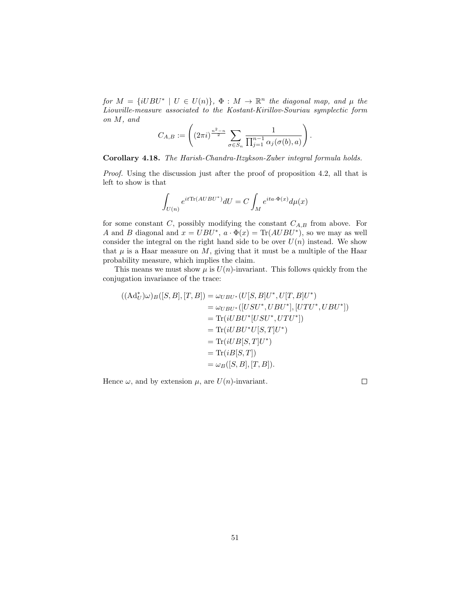for  $M = \{iUBU^* \mid U \in U(n)\}, \Phi : M \to \mathbb{R}^n$  the diagonal map, and  $\mu$  the Liouville-measure associated to the Kostant-Kirillov-Souriau symplectic form on M, and

$$
C_{A,B} := \left( (2\pi i)^{\frac{n^2-n}{2}} \sum_{\sigma \in S_n} \frac{1}{\prod_{j=1}^{n-1} \alpha_j(\sigma(b),a)} \right).
$$

Corollary 4.18. The Harish-Chandra-Itzykson-Zuber integral formula holds.

Proof. Using the discussion just after the proof of proposition 4.2, all that is left to show is that

$$
\int_{U(n)} e^{it \text{Tr}(A U B U^*)} dU = C \int_M e^{ita \cdot \Phi(x)} d\mu(x)
$$

for some constant  $C$ , possibly modifying the constant  $C_{A,B}$  from above. For A and B diagonal and  $x = UBU^*$ ,  $a \cdot \Phi(x) = \text{Tr}(AUBU^*)$ , so we may as well consider the integral on the right hand side to be over  $U(n)$  instead. We show that  $\mu$  is a Haar measure on  $M$ , giving that it must be a multiple of the Haar probability measure, which implies the claim.

This means we must show  $\mu$  is  $U(n)$ -invariant. This follows quickly from the conjugation invariance of the trace:

$$
((\mathrm{Ad}_{U}^{*})\omega)_{B}([S,B],[T,B]) = \omega_{UBU^{*}}(U[S,B]U^{*},U[T,B]U^{*})
$$
  
\n
$$
= \omega_{UBU^{*}}([USU^{*},UBU^{*}],[UTU^{*},UBU^{*}])
$$
  
\n
$$
= \mathrm{Tr}(iUBU^{*}[USU^{*},UTU^{*}])
$$
  
\n
$$
= \mathrm{Tr}(iUBU^{*}U[S,T]U^{*})
$$
  
\n
$$
= \mathrm{Tr}(iUB[S,T]U^{*})
$$
  
\n
$$
= \mathrm{Tr}(iB[S,T])
$$
  
\n
$$
= \omega_{B}([S,B],[T,B]).
$$

Hence  $\omega$ , and by extension  $\mu$ , are  $U(n)$ -invariant.

 $\Box$